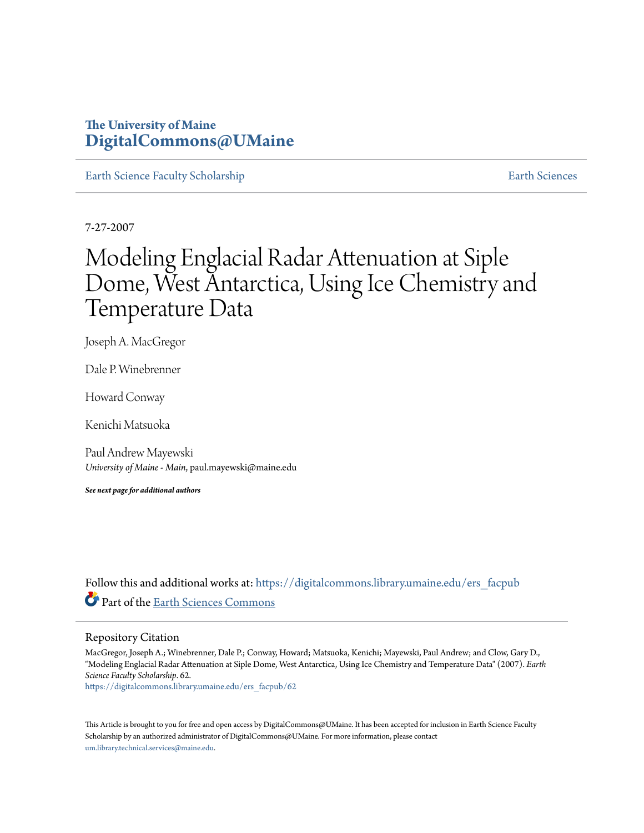## **The University of Maine [DigitalCommons@UMaine](https://digitalcommons.library.umaine.edu?utm_source=digitalcommons.library.umaine.edu%2Fers_facpub%2F62&utm_medium=PDF&utm_campaign=PDFCoverPages)**

[Earth Science Faculty Scholarship](https://digitalcommons.library.umaine.edu/ers_facpub?utm_source=digitalcommons.library.umaine.edu%2Fers_facpub%2F62&utm_medium=PDF&utm_campaign=PDFCoverPages) **[Earth Sciences](https://digitalcommons.library.umaine.edu/ers?utm_source=digitalcommons.library.umaine.edu%2Fers_facpub%2F62&utm_medium=PDF&utm_campaign=PDFCoverPages)** 

7-27-2007

# Modeling Englacial Radar Attenuation at Siple Dome, West Antarctica, Using Ice Chemistry and Temperature Data

Joseph A. MacGregor

Dale P. Winebrenner

Howard Conway

Kenichi Matsuoka

Paul Andrew Mayewski *University of Maine - Main*, paul.mayewski@maine.edu

*See next page for additional authors*

Follow this and additional works at: [https://digitalcommons.library.umaine.edu/ers\\_facpub](https://digitalcommons.library.umaine.edu/ers_facpub?utm_source=digitalcommons.library.umaine.edu%2Fers_facpub%2F62&utm_medium=PDF&utm_campaign=PDFCoverPages) Part of the [Earth Sciences Commons](http://network.bepress.com/hgg/discipline/153?utm_source=digitalcommons.library.umaine.edu%2Fers_facpub%2F62&utm_medium=PDF&utm_campaign=PDFCoverPages)

#### Repository Citation

MacGregor, Joseph A.; Winebrenner, Dale P.; Conway, Howard; Matsuoka, Kenichi; Mayewski, Paul Andrew; and Clow, Gary D., "Modeling Englacial Radar Attenuation at Siple Dome, West Antarctica, Using Ice Chemistry and Temperature Data" (2007). *Earth Science Faculty Scholarship*. 62.

[https://digitalcommons.library.umaine.edu/ers\\_facpub/62](https://digitalcommons.library.umaine.edu/ers_facpub/62?utm_source=digitalcommons.library.umaine.edu%2Fers_facpub%2F62&utm_medium=PDF&utm_campaign=PDFCoverPages)

This Article is brought to you for free and open access by DigitalCommons@UMaine. It has been accepted for inclusion in Earth Science Faculty Scholarship by an authorized administrator of DigitalCommons@UMaine. For more information, please contact [um.library.technical.services@maine.edu](mailto:um.library.technical.services@maine.edu).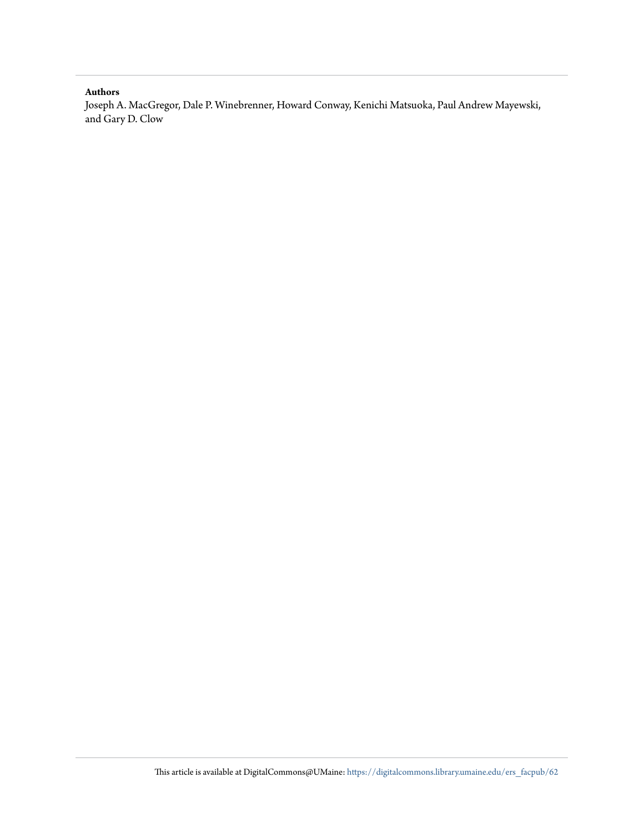#### **Authors**

Joseph A. MacGregor, Dale P. Winebrenner, Howard Conway, Kenichi Matsuoka, Paul Andrew Mayewski, and Gary D. Clow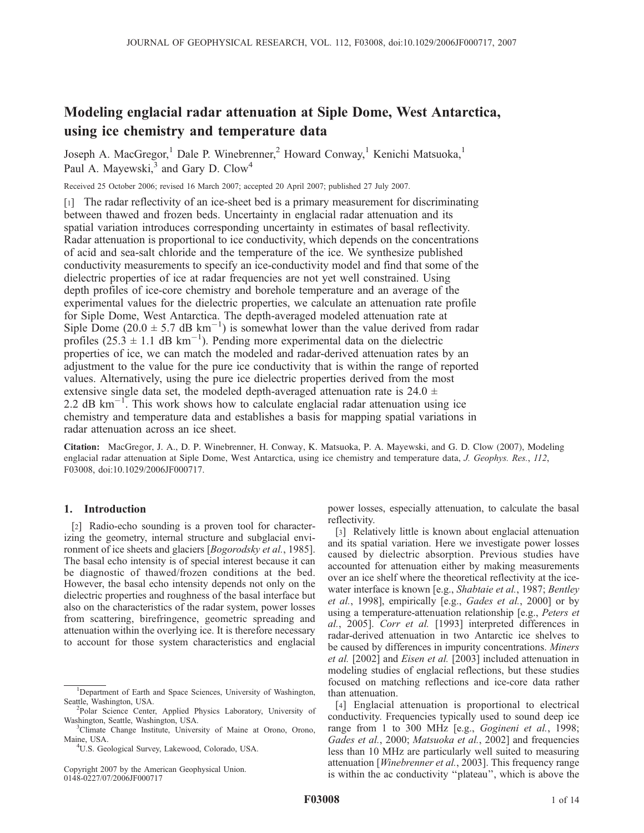## Modeling englacial radar attenuation at Siple Dome, West Antarctica, using ice chemistry and temperature data

Joseph A. MacGregor,<sup>1</sup> Dale P. Winebrenner,<sup>2</sup> Howard Conway,<sup>1</sup> Kenichi Matsuoka,<sup>1</sup> Paul A. Mayewski,<sup>3</sup> and Gary D. Clow<sup>4</sup>

Received 25 October 2006; revised 16 March 2007; accepted 20 April 2007; published 27 July 2007.

[1] The radar reflectivity of an ice-sheet bed is a primary measurement for discriminating between thawed and frozen beds. Uncertainty in englacial radar attenuation and its spatial variation introduces corresponding uncertainty in estimates of basal reflectivity. Radar attenuation is proportional to ice conductivity, which depends on the concentrations of acid and sea-salt chloride and the temperature of the ice. We synthesize published conductivity measurements to specify an ice-conductivity model and find that some of the dielectric properties of ice at radar frequencies are not yet well constrained. Using depth profiles of ice-core chemistry and borehole temperature and an average of the experimental values for the dielectric properties, we calculate an attenuation rate profile for Siple Dome, West Antarctica. The depth-averaged modeled attenuation rate at Siple Dome (20.0  $\pm$  5.7 dB km<sup>-1</sup>) is somewhat lower than the value derived from radar profiles  $(25.3 \pm 1.1$  dB km<sup>-1</sup>). Pending more experimental data on the dielectric properties of ice, we can match the modeled and radar-derived attenuation rates by an adjustment to the value for the pure ice conductivity that is within the range of reported values. Alternatively, using the pure ice dielectric properties derived from the most extensive single data set, the modeled depth-averaged attenuation rate is 24.0  $\pm$ 2.2 dB  $\text{km}^{-1}$ . This work shows how to calculate englacial radar attenuation using ice chemistry and temperature data and establishes a basis for mapping spatial variations in radar attenuation across an ice sheet.

Citation: MacGregor, J. A., D. P. Winebrenner, H. Conway, K. Matsuoka, P. A. Mayewski, and G. D. Clow (2007), Modeling englacial radar attenuation at Siple Dome, West Antarctica, using ice chemistry and temperature data, J. Geophys. Res., 112, F03008, doi:10.1029/2006JF000717.

#### 1. Introduction

[2] Radio-echo sounding is a proven tool for characterizing the geometry, internal structure and subglacial environment of ice sheets and glaciers [*Bogorodsky et al.*, 1985]. The basal echo intensity is of special interest because it can be diagnostic of thawed/frozen conditions at the bed. However, the basal echo intensity depends not only on the dielectric properties and roughness of the basal interface but also on the characteristics of the radar system, power losses from scattering, birefringence, geometric spreading and attenuation within the overlying ice. It is therefore necessary to account for those system characteristics and englacial

Copyright 2007 by the American Geophysical Union. 0148-0227/07/2006JF000717

power losses, especially attenuation, to calculate the basal reflectivity.

[3] Relatively little is known about englacial attenuation and its spatial variation. Here we investigate power losses caused by dielectric absorption. Previous studies have accounted for attenuation either by making measurements over an ice shelf where the theoretical reflectivity at the icewater interface is known [e.g., Shabtaie et al., 1987; Bentley et al., 1998], empirically [e.g., Gades et al., 2000] or by using a temperature-attenuation relationship [e.g., Peters et al., 2005]. Corr et al. [1993] interpreted differences in radar-derived attenuation in two Antarctic ice shelves to be caused by differences in impurity concentrations. Miners et al. [2002] and Eisen et al. [2003] included attenuation in modeling studies of englacial reflections, but these studies focused on matching reflections and ice-core data rather than attenuation.

[4] Englacial attenuation is proportional to electrical conductivity. Frequencies typically used to sound deep ice range from 1 to 300 MHz [e.g., Gogineni et al., 1998; Gades et al., 2000; Matsuoka et al., 2002] and frequencies less than 10 MHz are particularly well suited to measuring attenuation [Winebrenner et al., 2003]. This frequency range is within the ac conductivity ''plateau'', which is above the

<sup>&</sup>lt;sup>1</sup>Department of Earth and Space Sciences, University of Washington, Seattle, Washington, USA. <sup>2</sup>

<sup>&</sup>lt;sup>2</sup>Polar Science Center, Applied Physics Laboratory, University of Washington, Seattle, Washington, USA. <sup>3</sup>

<sup>&</sup>lt;sup>3</sup>Climate Change Institute, University of Maine at Orono, Orono, Maine, USA. <sup>4</sup>

U.S. Geological Survey, Lakewood, Colorado, USA.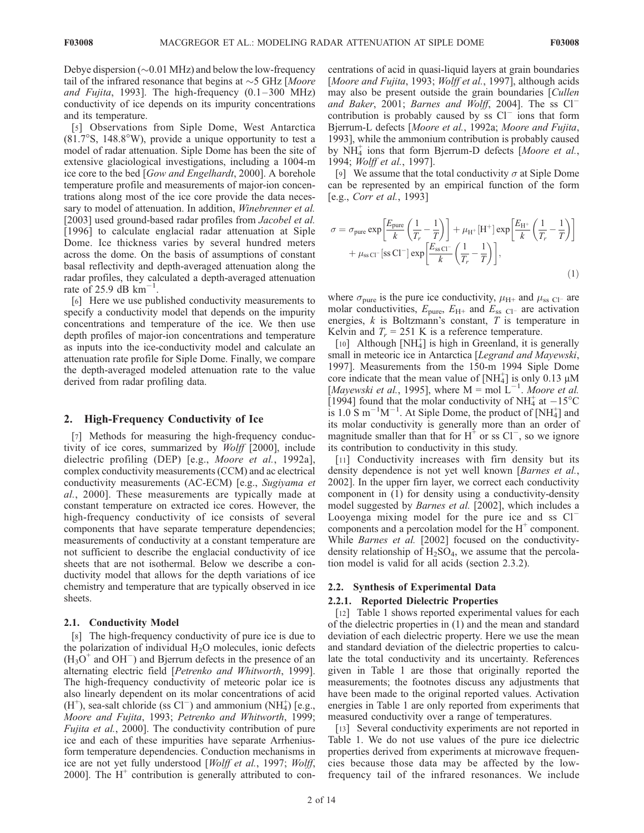Debye dispersion  $(\sim 0.01 \text{ MHz})$  and below the low-frequency tail of the infrared resonance that begins at  $\sim$  5 GHz [Moore and Fujita, 1993]. The high-frequency  $(0.1 - 300 \text{ MHz})$ conductivity of ice depends on its impurity concentrations and its temperature.

[5] Observations from Siple Dome, West Antarctica  $(81.7°S, 148.8°W)$ , provide a unique opportunity to test a model of radar attenuation. Siple Dome has been the site of extensive glaciological investigations, including a 1004-m ice core to the bed [Gow and Engelhardt, 2000]. A borehole temperature profile and measurements of major-ion concentrations along most of the ice core provide the data necessary to model of attenuation. In addition, Winebrenner et al. [2003] used ground-based radar profiles from Jacobel et al. [1996] to calculate englacial radar attenuation at Siple Dome. Ice thickness varies by several hundred meters across the dome. On the basis of assumptions of constant basal reflectivity and depth-averaged attenuation along the radar profiles, they calculated a depth-averaged attenuation rate of 25.9 dB  $km^{-1}$ .

[6] Here we use published conductivity measurements to specify a conductivity model that depends on the impurity concentrations and temperature of the ice. We then use depth profiles of major-ion concentrations and temperature as inputs into the ice-conductivity model and calculate an attenuation rate profile for Siple Dome. Finally, we compare the depth-averaged modeled attenuation rate to the value derived from radar profiling data.

#### 2. High-Frequency Conductivity of Ice

[7] Methods for measuring the high-frequency conductivity of ice cores, summarized by Wolff [2000], include dielectric profiling (DEP) [e.g., Moore et al., 1992a], complex conductivity measurements (CCM) and ac electrical conductivity measurements (AC-ECM) [e.g., Sugiyama et al., 2000]. These measurements are typically made at constant temperature on extracted ice cores. However, the high-frequency conductivity of ice consists of several components that have separate temperature dependencies; measurements of conductivity at a constant temperature are not sufficient to describe the englacial conductivity of ice sheets that are not isothermal. Below we describe a conductivity model that allows for the depth variations of ice chemistry and temperature that are typically observed in ice sheets.

#### 2.1. Conductivity Model

[8] The high-frequency conductivity of pure ice is due to the polarization of individual H<sub>2</sub>O molecules, ionic defects  $(H<sub>3</sub>O<sup>+</sup>$  and OH<sup>-</sup>) and Bjerrum defects in the presence of an alternating electric field [Petrenko and Whitworth, 1999]. The high-frequency conductivity of meteoric polar ice is also linearly dependent on its molar concentrations of acid  $(H<sup>+</sup>)$ , sea-salt chloride (ss Cl<sup>-</sup>) and ammonium (NH<sub>4</sub>) [e.g., Moore and Fujita, 1993; Petrenko and Whitworth, 1999; Fujita et al., 2000]. The conductivity contribution of pure ice and each of these impurities have separate Arrheniusform temperature dependencies. Conduction mechanisms in ice are not yet fully understood [Wolff et al., 1997; Wolff, 2000]. The  $H^+$  contribution is generally attributed to con-

centrations of acid in quasi-liquid layers at grain boundaries [Moore and Fujita, 1993; Wolff et al., 1997], although acids may also be present outside the grain boundaries [Cullen and Baker, 2001; Barnes and Wolff, 2004]. The ss  $Cl^$ contribution is probably caused by  $\text{ss}$  Cl<sup>-</sup> ions that form Bjerrum-L defects [Moore et al., 1992a; Moore and Fujita, 1993], while the ammonium contribution is probably caused by  $\text{NH}_4^+$  ions that form Bjerrum-D defects [Moore et al., 1994; Wolff et al., 1997].

[9] We assume that the total conductivity  $\sigma$  at Siple Dome can be represented by an empirical function of the form [e.g., Corr et al., 1993]

$$
\sigma = \sigma_{\text{pure}} \exp\left[\frac{E_{\text{pure}}}{k} \left(\frac{1}{T_r} - \frac{1}{T}\right)\right] + \mu_{\text{H}^+} [\text{H}^+] \exp\left[\frac{E_{\text{H}^+}}{k} \left(\frac{1}{T_r} - \frac{1}{T}\right)\right] + \mu_{\text{ss CI}^-} [\text{ss CI}^-] \exp\left[\frac{E_{\text{ssCI}^-}}{k} \left(\frac{1}{T_r} - \frac{1}{T}\right)\right],\tag{1}
$$

where  $\sigma_{\text{pure}}$  is the pure ice conductivity,  $\mu_{\text{H+}}$  and  $\mu_{\text{ss Cl}}$  are molar conductivities,  $E_{\text{pure}}$ ,  $E_{\text{H+}}$  and  $E_{\text{ss Cl-}}$  are activation energies,  $k$  is Boltzmann's constant,  $\overline{T}$  is temperature in Kelvin and  $T_r = 251$  K is a reference temperature.

[10] Although [NH<sub>4</sub>] is high in Greenland, it is generally small in meteoric ice in Antarctica [Legrand and Mayewski, 1997]. Measurements from the 150-m 1994 Siple Dome core indicate that the mean value of  $[NH_4^+]$  is only 0.13  $\mu$ M [Mayewski et al., 1995], where  $M = \text{mol} \, L^{-1}$ . Moore et al. [1994] found that the molar conductivity of NH<sub>4</sub> at  $-15^{\circ}$ C is 1.0 S m<sup>-1</sup>M<sup>-1</sup>. At Siple Dome, the product of [NH<sub>4</sub>] and its molar conductivity is generally more than an order of magnitude smaller than that for  $H^+$  or ss  $Cl^-$ , so we ignore its contribution to conductivity in this study.

[11] Conductivity increases with firn density but its density dependence is not yet well known [Barnes et al., 2002]. In the upper firn layer, we correct each conductivity component in (1) for density using a conductivity-density model suggested by Barnes et al. [2002], which includes a Looyenga mixing model for the pure ice and ss Cl<sup>-</sup> components and a percolation model for the  $H^+$  component. While *Barnes et al.* [2002] focused on the conductivitydensity relationship of  $H_2SO_4$ , we assume that the percolation model is valid for all acids (section 2.3.2).

#### 2.2. Synthesis of Experimental Data

#### 2.2.1. Reported Dielectric Properties

[12] Table 1 shows reported experimental values for each of the dielectric properties in (1) and the mean and standard deviation of each dielectric property. Here we use the mean and standard deviation of the dielectric properties to calculate the total conductivity and its uncertainty. References given in Table 1 are those that originally reported the measurements; the footnotes discuss any adjustments that have been made to the original reported values. Activation energies in Table 1 are only reported from experiments that measured conductivity over a range of temperatures.

[13] Several conductivity experiments are not reported in Table 1. We do not use values of the pure ice dielectric properties derived from experiments at microwave frequencies because those data may be affected by the lowfrequency tail of the infrared resonances. We include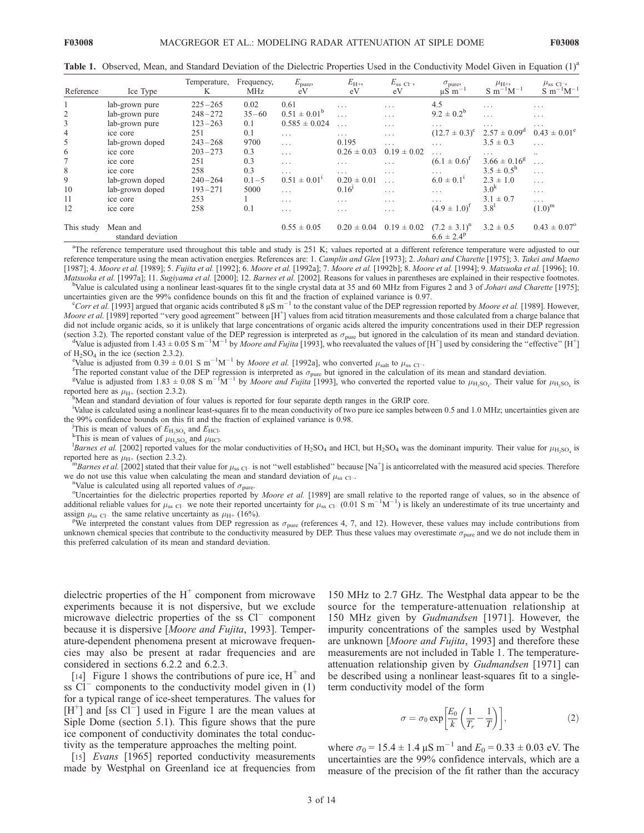Table 1. Observed, Mean, and Standard Deviation of the Dielectric Properties Used in the Conductivity Model Given in Equation (1)<sup>a</sup>

| Reference      | Ice Type                       | Temperature,<br>K | Frequency,<br><b>MHz</b> | $E_{\text{pure}}$<br>eV | $E_{\text{H+}}$<br>eV | $E_{\rm ss}$ Cl <sup>-</sup> ,<br>eV | $\sigma_{pure}$<br>$\mu S$ m <sup>-1</sup> | $\mu_{\text{H+}}$<br>$S \; m^{-1}M^{-1}$ | $\mu_{ss}$ Cl <sup>-</sup> ,<br>$S \; m^{-1}M^{-1}$ |
|----------------|--------------------------------|-------------------|--------------------------|-------------------------|-----------------------|--------------------------------------|--------------------------------------------|------------------------------------------|-----------------------------------------------------|
|                | lab-grown pure                 | $225 - 265$       | 0.02                     | 0.61                    | $\cdots$              | $\cdots$                             | 4.5                                        | $\cdots$                                 | $\cdots$                                            |
| 2              | lab-grown pure                 | $248 - 272$       | $35 - 60$                | $0.51 \pm 0.01^b$       | .                     | $\cdots$                             | $9.2 \pm 0.2^b$                            | $\cdots$                                 | .                                                   |
| 3              | lab-grown pure                 | $123 - 263$       | 0.1                      | $0.585 \pm 0.024$       | .                     | $\cdots$                             | $\cdots$                                   | $\cdots$                                 | $\cdots$                                            |
| $\overline{4}$ | ice core                       | 251               | 0.1                      | $\cdots$                | .                     | $\cdot$ $\cdot$ $\cdot$              | (12.7)<br>$\pm 0.3)^c$                     | $2.57 \pm 0.09^{\rm d}$                  | $0.43 \pm 0.01^{\circ}$                             |
| 5              | lab-grown doped                | $243 - 268$       | 9700                     | $\cdots$                | 0.195                 | $\cdots$                             | $\cdots$                                   | $3.5 \pm 0.3$                            | $\cdots$                                            |
| 6              | ice core                       | $203 - 273$       | 0.3                      | .                       | $0.26 \pm 0.03$       | $0.19 \pm 0.02$                      | $\cdots$                                   | .                                        | $\ddotsc$                                           |
| 7              | ice core                       | 251               | 0.3                      | $\cdots$                | .                     | $\cdots$                             | $(6.1 \pm 0.6)^{1}$                        | $3.66 \pm 0.16^g$                        | $\cdots$                                            |
| 8              | ice core                       | 258               | 0.3                      | $\cdots$                | .                     | $\cdots$                             | $\cdots$                                   | $3.5 \pm 0.5^{\rm h}$                    | $\cdots$                                            |
| 9              | lab-grown doped                | $240 - 264$       | $0.1 - 5$                | $0.51 \pm 0.01^1$       | $0.20 \pm 0.01$       | $\cdots$                             | $6.0 \pm 0.1^1$                            | $2.3 \pm 1.0$                            | $\cdots$                                            |
| 10             | lab-grown doped                | $193 - 271$       | 5000                     | $\cdots$                | $0.16^{1}$            | $\cdot$ $\cdot$ $\cdot$              | $\cdots$                                   | 3.0 <sup>k</sup>                         | $\cdot$ $\cdot$ $\cdot$                             |
| 11             | ice core                       | 253               |                          | $\cdots$                | .                     | $\cdots$                             | $\cdots$                                   | $3.1 \pm 0.7$                            | $\cdots$                                            |
| 12             | ice core                       | 258               | 0.1                      | $\cdots$                | $\cdots$              | $\cdots$                             | $(4.9 \pm 1.0)^{T}$                        | $3.8^{1}$                                | $(1.0)^{m}$                                         |
| This study     | Mean and<br>standard deviation |                   |                          | $0.55 \pm 0.05$         | $0.20 \pm 0.04$       | $0.19 \pm 0.02$                      | $(7.2 \pm 3.1)^n$<br>$6.6 \pm 2.4^p$       | $3.2 \pm 0.5$                            | $0.43 \pm 0.07$ <sup>o</sup>                        |

<sup>a</sup>The reference temperature used throughout this table and study is 251 K; values reported at a different reference temperature were adjusted to our reference temperature using the mean activation energies. References are: 1. Camplin and Glen [1973]; 2. Johari and Charette [1975]; 3. Takei and Maeno [1987]; 4. Moore et al. [1989]; 5. Fujita et al. [1992]; 6. Moore et al. [1992a]; 7. Moore et al. [1992b]; 8. Moore et al. [1994]; 9. Matsuoka et al. [1996]; 10. Matsuoka et al. [1997a]; 11. Sugiyama et al. [2000]; 12. Barnes et al. [2002]. Reasons for values in parentheses are explained in their respective footnotes. <sup>b</sup>Value is calculated using a nonlinear least-squares fit to the single crystal data at 35 and 60 MHz from Figures 2 and 3 of *Johari and Charette* [1975];

uncertainties given are the 99% confidence bounds on this fit and the fraction of explained variance is 0.97. <sup>c</sup>Corr et al. [1993] argued that organic acids contributed 8  $\mu$ S m<sup>-1</sup> to the constant value of the DEP regression reported by *Moore et al.* [1989]. However,

Moore et al. [1989] reported "very good agreement" between [H<sup>+</sup>] values from acid titration measurements and those calculated from a charge balance that did not include organic acids, so it is unlikely that large concentrations of organic acids altered the impurity concentrations used in their DEP regression (section 3.2). The reported constant value of the DEP regression is interpreted as  $\sigma_{pure}$  but ignored in the calculation of its mean and standard deviation. Value is adjusted from 1.43  $\pm$  0.05 S m<sup>-1</sup>M<sup>-1</sup> by *Moore and Fujita* [1993], who reevaluated the values of [H<sup>+</sup>] used by considering the "effective" [H<sup>+</sup>]

of  $H_2SO_4$  in the ice (section 2.3.2).

<sup>e</sup>Value is adjusted from 0.39  $\pm$  0.01 S m<sup>-1</sup>M<sup>-1</sup> by *Moore et al.* [1992a], who converted  $\mu_{\text{salt}}$  to  $\mu_{\text{ss}}$  c<sub>l</sub>.

<sup>F</sup>The reported constant value of the DEP regression is interpreted as  $\sigma_{\text{pure}}$  but ignored in the calculation of its mean and standard deviation.

Value is adjusted from 1.83  $\pm$  0.08 S m<sup>-1</sup>M<sup>-1</sup> by *Moore and Fujita* [1993], who converted the reported value to  $\mu_{H_2SO_4}$ . Their value for  $\mu_{H_2SO_4}$  is reported here as  $\mu_{H+}$  (section 2.3.2).

Mean and standard deviation of four values is reported for four separate depth ranges in the GRIP core.

i Value is calculated using a nonlinear least-squares fit to the mean conductivity of two pure ice samples between 0.5 and 1.0 MHz; uncertainties given are the 99% confidence bounds on this fit and the fraction of explained variance is 0.98.

<sup>j</sup>This is mean of values of  $E_{\text{H}_2\text{SO}_4}$  and  $E_{\text{HCl}}$ .

<sup>k</sup>This is mean of values of  $\mu_{H,SO_4}$  and  $\mu_{HCl}$ .

<sup>1</sup>Barnes et al. [2002] reported values for the molar conductivities of H<sub>2</sub>SO<sub>4</sub> and HCl, but H<sub>2</sub>SO<sub>4</sub> was the dominant impurity. Their value for  $\mu_{\text{H}_2\text{SO}_4}$  is reported here as  $\mu_{\text{H}_2}$  (section 2.3.2).

reported here as  $\mu_{H+}$  (section 2.3.2).<br><sup>m</sup>Barnes et al. [2002] stated that their value for  $\mu_{ss}$  <sub>Cl</sub>- is not "well established" because [Na<sup>+</sup>] is anticorrelated with the measured acid species. Therefore we do not use this value when calculating the mean and standard deviation of  $\mu_{ss}$  Cl<sup>-1</sup>.

<sup>n</sup>Value is calculated using all reported values of  $\sigma_{pure}$ 

<sup>o</sup>Uncertainties for the dielectric properties reported by *Moore et al.* [1989] are small relative to the reported range of values, so in the absence of additional reliable values for  $\mu_{ss}$  c<sub>1</sub>- we note their reported assign  $\mu_{ss}$  Cl- the same relative uncertainty as  $\mu_{H+}$  (16%).

<sup>P</sup>We interpreted the constant values from DEP regression as  $\sigma_{pure}$  (references 4, 7, and 12). However, these values may include contributions from unknown chemical species that contribute to the conductivity measured by DEP. Thus these values may overestimate  $\sigma_{pure}$  and we do not include them in this preferred calculation of its mean and standard deviation.

dielectric properties of the  $H^+$  component from microwave experiments because it is not dispersive, but we exclude microwave dielectric properties of the ss  $Cl^-$  component because it is dispersive [Moore and Fujita, 1993]. Temperature-dependent phenomena present at microwave frequencies may also be present at radar frequencies and are considered in sections 6.2.2 and 6.2.3.

[14] Figure 1 shows the contributions of pure ice,  $H^+$  and ss  $Cl^-$  components to the conductivity model given in  $(1)$ for a typical range of ice-sheet temperatures. The values for  $[H^+]$  and [ss Cl<sup>--</sup>] used in Figure 1 are the mean values at Siple Dome (section 5.1). This figure shows that the pure ice component of conductivity dominates the total conductivity as the temperature approaches the melting point.

[15] *Evans* [1965] reported conductivity measurements made by Westphal on Greenland ice at frequencies from

150 MHz to 2.7 GHz. The Westphal data appear to be the source for the temperature-attenuation relationship at 150 MHz given by Gudmandsen [1971]. However, the impurity concentrations of the samples used by Westphal are unknown [Moore and Fujita, 1993] and therefore these measurements are not included in Table 1. The temperatureattenuation relationship given by Gudmandsen [1971] can be described using a nonlinear least-squares fit to a singleterm conductivity model of the form

$$
\sigma = \sigma_0 \exp\left[\frac{E_0}{k}\left(\frac{1}{T_r} - \frac{1}{T}\right)\right],\tag{2}
$$

where  $\sigma_0 = 15.4 \pm 1.4 \,\mu\text{S m}^{-1}$  and  $E_0 = 0.33 \pm 0.03 \text{ eV}$ . The uncertainties are the 99% confidence intervals, which are a measure of the precision of the fit rather than the accuracy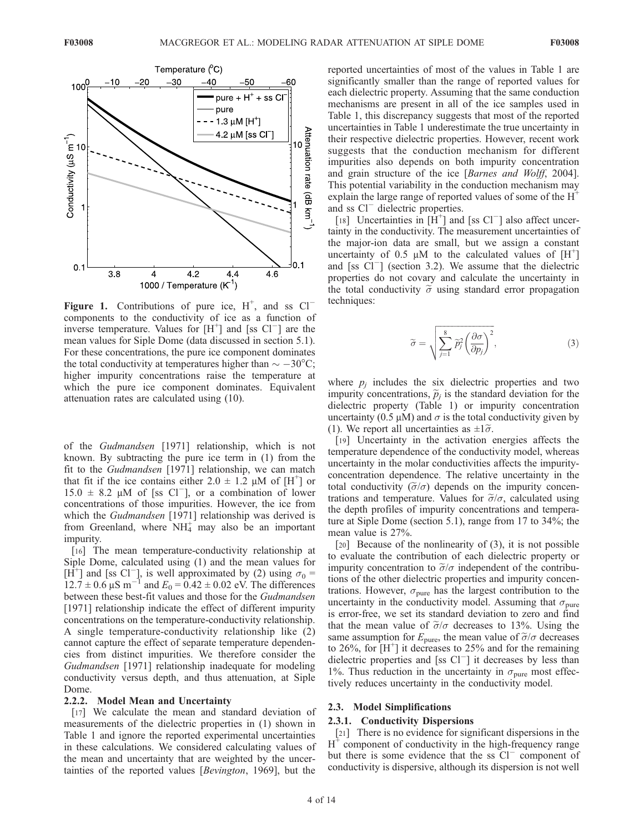

Figure 1. Contributions of pure ice,  $H^+$ , and ss  $Cl^$ components to the conductivity of ice as a function of inverse temperature. Values for  $[H^+]$  and [ss Cl<sup>-</sup>] are the mean values for Siple Dome (data discussed in section 5.1). For these concentrations, the pure ice component dominates the total conductivity at temperatures higher than  $\sim -30^{\circ}$ C; higher impurity concentrations raise the temperature at which the pure ice component dominates. Equivalent attenuation rates are calculated using (10).

of the Gudmandsen [1971] relationship, which is not known. By subtracting the pure ice term in (1) from the fit to the Gudmandsen [1971] relationship, we can match that fit if the ice contains either  $2.0 \pm 1.2 \mu M$  of [H<sup>+</sup>] or  $15.0 \pm 8.2$  µM of [ss Cl<sup>-</sup>], or a combination of lower concentrations of those impurities. However, the ice from which the *Gudmandsen* [1971] relationship was derived is from Greenland, where  $NH<sub>4</sub><sup>+</sup>$  may also be an important impurity.

[16] The mean temperature-conductivity relationship at Siple Dome, calculated using (1) and the mean values for [H<sup>+</sup>] and [ss Cl<sup>-</sup>], is well approximated by (2) using  $\sigma_0 =$  $12.7 \pm 0.6 \,\mu S \text{ m}^{-1}$  and  $E_0 = 0.42 \pm 0.02 \text{ eV}$ . The differences between these best-fit values and those for the Gudmandsen [1971] relationship indicate the effect of different impurity concentrations on the temperature-conductivity relationship. A single temperature-conductivity relationship like (2) cannot capture the effect of separate temperature dependencies from distinct impurities. We therefore consider the Gudmandsen [1971] relationship inadequate for modeling conductivity versus depth, and thus attenuation, at Siple Dome.

#### 2.2.2. Model Mean and Uncertainty

[17] We calculate the mean and standard deviation of measurements of the dielectric properties in (1) shown in Table 1 and ignore the reported experimental uncertainties in these calculations. We considered calculating values of the mean and uncertainty that are weighted by the uncertainties of the reported values [Bevington, 1969], but the

reported uncertainties of most of the values in Table 1 are significantly smaller than the range of reported values for each dielectric property. Assuming that the same conduction mechanisms are present in all of the ice samples used in Table 1, this discrepancy suggests that most of the reported uncertainties in Table 1 underestimate the true uncertainty in their respective dielectric properties. However, recent work suggests that the conduction mechanism for different impurities also depends on both impurity concentration and grain structure of the ice [Barnes and Wolff, 2004]. This potential variability in the conduction mechanism may explain the large range of reported values of some of the  $H^+$ and ss  $Cl^-$  dielectric properties.

[18] Uncertainties in  $[\hat{H}^+]$  and [ss Cl<sup>-</sup>] also affect uncertainty in the conductivity. The measurement uncertainties of the major-ion data are small, but we assign a constant uncertainty of 0.5  $\mu$ M to the calculated values of [H<sup>+</sup>] and [ss  $Cl^-$ ] (section 3.2). We assume that the dielectric properties do not covary and calculate the uncertainty in the total conductivity  $\tilde{\sigma}$  using standard error propagation techniques:

$$
\widetilde{\sigma} = \sqrt{\sum_{j=1}^{8} \widetilde{p}_j^2 \left(\frac{\partial \sigma}{\partial p_j}\right)^2},\tag{3}
$$

where  $p_i$  includes the six dielectric properties and two impurity concentrations,  $\tilde{p}_i$  is the standard deviation for the dielectric property (Table 1) or impurity concentration uncertainty (0.5  $\mu$ M) and  $\sigma$  is the total conductivity given by (1). We report all uncertainties as  $\pm 1\tilde{\sigma}$ .

[19] Uncertainty in the activation energies affects the temperature dependence of the conductivity model, whereas uncertainty in the molar conductivities affects the impurityconcentration dependence. The relative uncertainty in the total conductivity  $(\tilde{\sigma}/\sigma)$  depends on the impurity concentrations and temperature. Values for  $\tilde{\sigma}/\sigma$ , calculated using the depth profiles of impurity concentrations and temperature at Siple Dome (section 5.1), range from 17 to 34%; the mean value is 27%.

[20] Because of the nonlinearity of (3), it is not possible to evaluate the contribution of each dielectric property or impurity concentration to  $\tilde{\sigma}/\sigma$  independent of the contributions of the other dielectric properties and impurity concentrations. However,  $\sigma_{\text{pure}}$  has the largest contribution to the uncertainty in the conductivity model. Assuming that  $\sigma_{\text{pure}}$ is error-free, we set its standard deviation to zero and find that the mean value of  $\tilde{\sigma}/\sigma$  decreases to 13%. Using the same assumption for  $E_{\text{pure}}$ , the mean value of  $\tilde{\sigma}/\sigma$  decreases to 26%, for  $[H^+]$  it decreases to 25% and for the remaining dielectric properties and [ss  $Cl<sup>-</sup>$ ] it decreases by less than 1%. Thus reduction in the uncertainty in  $\sigma_{pure}$  most effectively reduces uncertainty in the conductivity model.

#### 2.3. Model Simplifications

#### 2.3.1. Conductivity Dispersions

[21] There is no evidence for significant dispersions in the  $H^+$  component of conductivity in the high-frequency range but there is some evidence that the ss  $Cl^-$  component of conductivity is dispersive, although its dispersion is not well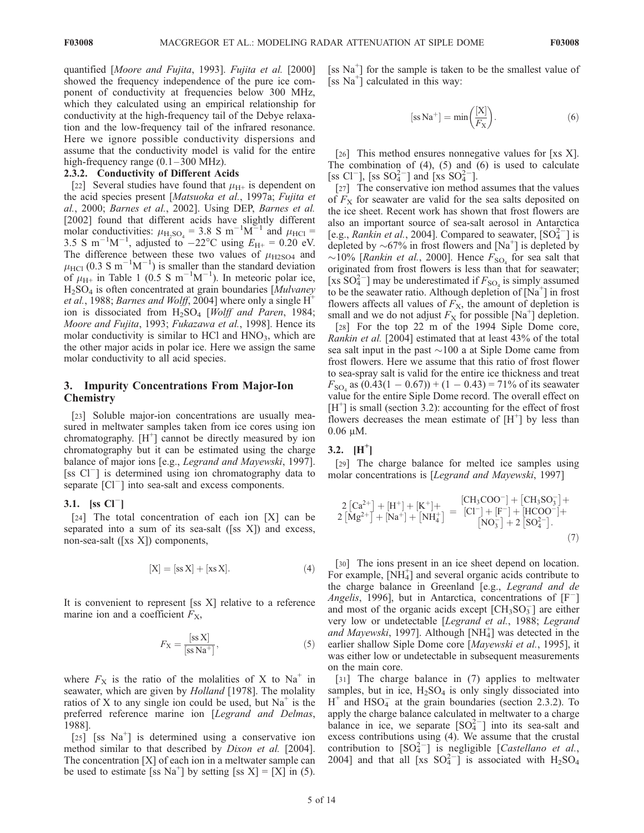quantified [Moore and Fujita, 1993]. Fujita et al. [2000] showed the frequency independence of the pure ice component of conductivity at frequencies below 300 MHz, which they calculated using an empirical relationship for conductivity at the high-frequency tail of the Debye relaxation and the low-frequency tail of the infrared resonance. Here we ignore possible conductivity dispersions and assume that the conductivity model is valid for the entire high-frequency range  $(0.1 - 300 \text{ MHz})$ .

#### 2.3.2. Conductivity of Different Acids

[22] Several studies have found that  $\mu_{\text{H+}}$  is dependent on the acid species present [Matsuoka et al., 1997a; Fujita et al., 2000; Barnes et al., 2002]. Using DEP, Barnes et al. [2002] found that different acids have slightly different molar conductivities:  $\mu_{\text{H}_2\text{SO}_4} = 3.8 \text{ S m}^{-1}\text{M}^{-1}$  and  $\mu_{\text{HCl}} =$ 3.5 S m<sup>-1</sup>M<sup>-1</sup>, adjusted to -22<sup>o</sup>C using  $E_{\text{H+}} = 0.20 \text{ eV}$ . The difference between these two values of  $\mu_{H2SO4}$  and  $\mu_{\text{HCI}}$  (0.3 S m<sup>-1</sup>M<sup>-1</sup>) is smaller than the standard deviation of  $\mu_{\text{H+}}$  in Table 1 (0.5 S m<sup>-1</sup>M<sup>-1</sup>). In meteoric polar ice, H2SO4 is often concentrated at grain boundaries [Mulvaney *et al.*, 1988; *Barnes and Wolff*, 2004] where only a single  $H^+$ ion is dissociated from  $H_2SO_4$  [Wolff and Paren, 1984; Moore and Fujita, 1993; Fukazawa et al., 1998]. Hence its molar conductivity is similar to HCl and  $HNO<sub>3</sub>$ , which are the other major acids in polar ice. Here we assign the same molar conductivity to all acid species.

#### 3. Impurity Concentrations From Major-Ion **Chemistry**

[23] Soluble major-ion concentrations are usually measured in meltwater samples taken from ice cores using ion chromatography.  $[H^+]$  cannot be directly measured by ion chromatography but it can be estimated using the charge balance of major ions [e.g., *Legrand and Mayewski*, 1997]. [ss  $Cl^-$ ] is determined using ion chromatography data to separate  $\lceil$ Cl<sup> $-$ </sup> $\rceil$  into sea-salt and excess components.

#### 3.1. [ss  $Cl^-$ ]

[24] The total concentration of each ion [X] can be separated into a sum of its sea-salt ([ss X]) and excess, non-sea-salt ([xs X]) components,

$$
[X] = [ss X] + [xs X]. \tag{4}
$$

It is convenient to represent [ss X] relative to a reference marine ion and a coefficient  $F_X$ ,

$$
F_X = \frac{[\text{ss } X]}{[\text{ss } \text{Na}^+]},\tag{5}
$$

where  $F_X$  is the ratio of the molalities of X to Na<sup>+</sup> in seawater, which are given by *Holland* [1978]. The molality ratios of X to any single ion could be used, but  $Na<sup>+</sup>$  is the preferred reference marine ion [Legrand and Delmas, 1988].

 $[25]$  [ss Na<sup>+</sup>] is determined using a conservative ion method similar to that described by *Dixon et al.* [2004]. The concentration [X] of each ion in a meltwater sample can be used to estimate [ss Na<sup>+</sup>] by setting [ss X] = [X] in (5).

[ss Na<sup>+</sup>] for the sample is taken to be the smallest value of  $\left[\text{ss Na}^{+}\right]$  calculated in this way:

$$
[ss\ Na^{+}] = \min\left(\frac{[X]}{F_{X}}\right). \tag{6}
$$

[26] This method ensures nonnegative values for [xs X]. The combination of  $(4)$ ,  $(5)$  and  $(6)$  is used to calculate [ss Cl<sup>-</sup>], [ss SO<sub>4</sub><sup>-</sup>] and [xs SO<sub>4</sub><sup>-</sup>].

[27] The conservative ion method assumes that the values of  $F<sub>X</sub>$  for seawater are valid for the sea salts deposited on the ice sheet. Recent work has shown that frost flowers are also an important source of sea-salt aerosol in Antarctica [e.g., *Rankin et al.*, 2004]. Compared to seawater,  $[SO_4^{2-}]$  is depleted by  $\sim 67\%$  in frost flowers and [Na<sup>+</sup>] is depleted by  $\sim$ 10% [*Rankin et al.*, 2000]. Hence  $F_{SO_4}$  for sea salt that originated from frost flowers is less than that for seawater; [xs  $SO_4^{2-}$ ] may be underestimated if  $F_{SO_4}$  is simply assumed to be the seawater ratio. Although depletion of  $[\text{Na}^+]$  in frost flowers affects all values of  $F<sub>X</sub>$ , the amount of depletion is small and we do not adjust  $F_X$  for possible [Na<sup>+</sup>] depletion.

[28] For the top 22 m of the 1994 Siple Dome core, Rankin et al. [2004] estimated that at least 43% of the total sea salt input in the past  $\sim$ 100 a at Siple Dome came from frost flowers. Here we assume that this ratio of frost flower to sea-spray salt is valid for the entire ice thickness and treat  $F_{\text{SO}_4}$  as  $(0.43(1 - 0.67)) + (1 - 0.43) = 71\%$  of its seawater value for the entire Siple Dome record. The overall effect on  $[H<sup>+</sup>]$  is small (section 3.2): accounting for the effect of frost flowers decreases the mean estimate of  $[H<sup>+</sup>]$  by less than  $0.06 \mu M$ .

### 3.2.  $[H^+]$

[29] The charge balance for melted ice samples using molar concentrations is [Legrand and Mayewski, 1997]

$$
2\left[Ca^{2+}\right] + \left[H^{+}\right] + \left[K^{+}\right] + \left[CH_{3}COO^{-}\right] + \left[CH_{3}SO_{3}^{-}\right] + 2\left[Mg^{2+}\right] + \left[Na^{+}\right] + \left[NH_{4}^{+}\right] = \left[Cl^{-}\right] + \left[F^{-}\right] + \left[HCOO^{-}\right] + \left[NO_{3}^{-}\right] + 2\left[SO_{4}^{2-}\right].
$$
\n(7)

[30] The ions present in an ice sheet depend on location. For example,  $[N\hat{H}_4^+]$  and several organic acids contribute to the charge balance in Greenland [e.g., Legrand and de Angelis, 1996], but in Antarctica, concentrations of  $[F^-]$ and most of the organic acids except  $[CH<sub>3</sub>SO<sub>3</sub><sup>-</sup>]$  are either very low or undetectable [Legrand et al., 1988; Legrand and Mayewski, 1997]. Although [NH $_4^+$ ] was detected in the earlier shallow Siple Dome core [Mayewski et al., 1995], it was either low or undetectable in subsequent measurements on the main core.

[31] The charge balance in (7) applies to meltwater samples, but in ice,  $H_2SO_4$  is only singly dissociated into  $H^+$  and  $HSO_4^-$  at the grain boundaries (section 2.3.2). To apply the charge balance calculated in meltwater to a charge balance in ice, we separate  $[SO_4^{2-}]$  into its sea-salt and excess contributions using (4). We assume that the crustal contribution to  $[SO_4^{2-}]$  is negligible [Castellano et al., 2004] and that all [xs  $SO_4^{2-}$ ] is associated with  $H_2SO_4$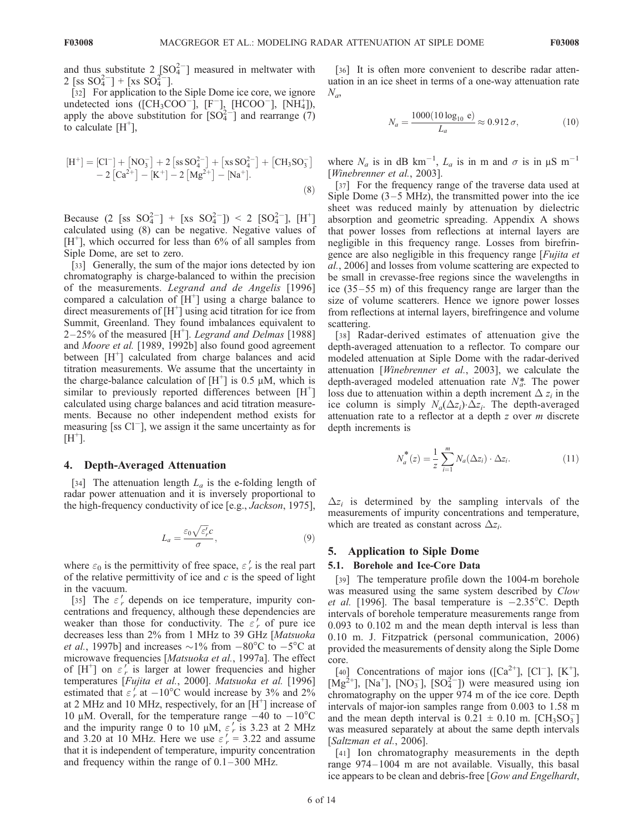and thus substitute  $2 \text{ [SO]}^{2-}$  measured in meltwater with 2 [ss  $SO_4^{2-}$ ] + [xs  $SO_4^{2-}$ ].

[32] For application to the Siple Dome ice core, we ignore undetected ions ([CH<sub>3</sub>COO<sup>-</sup>], [F<sup>-</sup>]<sub>3</sub> [HCOO<sup>-</sup>], [NH<sub>4</sub>]), apply the above substitution for  $[SO_4^{2-}]$  and rearrange (7) to calculate  $[H^+]$ ,

$$
\begin{aligned} \left[H^+\right] &= \left[Cl^-\right] + \left[NO_3^-\right] + 2\left[ss\,SO_4^{2-}\right] + \left[xs\,SO_4^{2-}\right] + \left[CH_3SO_3^-\right] \\ &- 2\left[Ca^{2+}\right] - \left[K^+\right] - 2\left[Mg^{2+}\right] - \left[Na^+\right]. \end{aligned} \tag{8}
$$

Because (2 [ss  $SO_4^{2-}$ ] + [xs  $SO_4^{2-}$ ]) < 2 [ $SO_4^{2-}$ ], [H<sup>+</sup>] calculated using (8) can be negative. Negative values of [H<sup>+</sup>], which occurred for less than 6% of all samples from Siple Dome, are set to zero.

[33] Generally, the sum of the major ions detected by ion chromatography is charge-balanced to within the precision of the measurements. Legrand and de Angelis [1996] compared a calculation of  $[H^+]$  using a charge balance to direct measurements of  $[H^+]$  using acid titration for ice from Summit, Greenland. They found imbalances equivalent to  $2-25\%$  of the measured  $[H^+]$ . Legrand and Delmas [1988] and Moore et al. [1989, 1992b] also found good agreement between [H<sup>+</sup>] calculated from charge balances and acid titration measurements. We assume that the uncertainty in the charge-balance calculation of  $[H^+]$  is 0.5 µM, which is similar to previously reported differences between  $[H^+]$ calculated using charge balances and acid titration measurements. Because no other independent method exists for measuring [ss  $Cl^-$ ], we assign it the same uncertainty as for  $[H^+]$ .

#### 4. Depth-Averaged Attenuation

[34] The attenuation length  $L_a$  is the e-folding length of radar power attenuation and it is inversely proportional to the high-frequency conductivity of ice [e.g., Jackson, 1975],

$$
L_a = \frac{\varepsilon_0 \sqrt{\varepsilon_r' c}}{\sigma},\tag{9}
$$

where  $\varepsilon_0$  is the permittivity of free space,  $\varepsilon'_r$  is the real part of the relative permittivity of ice and  $c$  is the speed of light in the vacuum.

[35] The  $\varepsilon'$  depends on ice temperature, impurity concentrations and frequency, although these dependencies are weaker than those for conductivity. The  $\varepsilon'_{r}$  of pure ice decreases less than 2% from 1 MHz to 39 GHz [Matsuoka *et al.*, 1997b] and increases  $\sim$ 1% from  $-80^{\circ}$ C to  $-5^{\circ}$ C at microwave frequencies [Matsuoka et al., 1997a]. The effect of  $[H^+]$  on  $\varepsilon'$  is larger at lower frequencies and higher temperatures [Fujita et al., 2000]. Matsuoka et al. [1996] estimated that  $\varepsilon'_{r}$  at  $-10^{\circ}$ C would increase by 3% and 2% at 2 MHz and 10 MHz, respectively, for an  $[H^+]$  increase of 10 µM. Overall, for the temperature range  $-40$  to  $-10^{\circ}$ C and the impurity range 0 to 10  $\mu$ M,  $\varepsilon'$  is 3.23 at 2 MHz and 3.20 at 10 MHz. Here we use  $\varepsilon' = 3.22$  and assume that it is independent of temperature, impurity concentration and frequency within the range of  $0.1-300$  MHz.

[36] It is often more convenient to describe radar attenuation in an ice sheet in terms of a one-way attenuation rate  $N_a$ 

$$
N_a = \frac{1000(10 \log_{10} e)}{L_a} \approx 0.912 \sigma,
$$
 (10)

where  $N_a$  is in dB km<sup>-1</sup>,  $L_a$  is in m and  $\sigma$  is in  $\mu$ S m<sup>-1</sup> [Winebrenner et al., 2003].

[37] For the frequency range of the traverse data used at Siple Dome  $(3-5 \text{ MHz})$ , the transmitted power into the ice sheet was reduced mainly by attenuation by dielectric absorption and geometric spreading. Appendix A shows that power losses from reflections at internal layers are negligible in this frequency range. Losses from birefringence are also negligible in this frequency range [Fujita et al., 2006] and losses from volume scattering are expected to be small in crevasse-free regions since the wavelengths in ice (35 –55 m) of this frequency range are larger than the size of volume scatterers. Hence we ignore power losses from reflections at internal layers, birefringence and volume scattering.

[38] Radar-derived estimates of attenuation give the depth-averaged attenuation to a reflector. To compare our modeled attenuation at Siple Dome with the radar-derived attenuation [Winebrenner et al., 2003], we calculate the depth-averaged modeled attenuation rate  $N_a^*$ . The power loss due to attenuation within a depth increment  $\Delta z_i$  in the ice column is simply  $N_a(\Delta z_i) \cdot \Delta z_i$ . The depth-averaged attenuation rate to a reflector at a depth  $z$  over  $m$  discrete depth increments is

$$
N_a^*(z) = \frac{1}{z} \sum_{i=1}^m N_a(\Delta z_i) \cdot \Delta z_i.
$$
 (11)

 $\Delta z_i$  is determined by the sampling intervals of the measurements of impurity concentrations and temperature, which are treated as constant across  $\Delta z_i$ .

#### 5. Application to Siple Dome

#### 5.1. Borehole and Ice-Core Data

[39] The temperature profile down the 1004-m borehole was measured using the same system described by Clow et al. [1996]. The basal temperature is  $-2.35^{\circ}$ C. Depth intervals of borehole temperature measurements range from 0.093 to 0.102 m and the mean depth interval is less than 0.10 m. J. Fitzpatrick (personal communication, 2006) provided the measurements of density along the Siple Dome core.

[40] Concentrations of major ions ( $[Ca^{2+}]$ ,  $[Cl^-]$ ,  $[K^+]$ ,  $[\text{Mg}^2]$ <sup>+</sup>], [Na<sup>+</sup>], [NO<sub>3</sub><sup>-</sup>], [SO<sub>4</sub><sup>-2</sup>]) were measured using ion chromatography on the upper 974 m of the ice core. Depth intervals of major-ion samples range from 0.003 to 1.58 m and the mean depth interval is  $0.21 \pm 0.10$  m. [CH<sub>3</sub>SO<sub>3</sub>] was measured separately at about the same depth intervals [Saltzman et al., 2006].

[41] Ion chromatography measurements in the depth range 974– 1004 m are not available. Visually, this basal ice appears to be clean and debris-free [Gow and Engelhardt,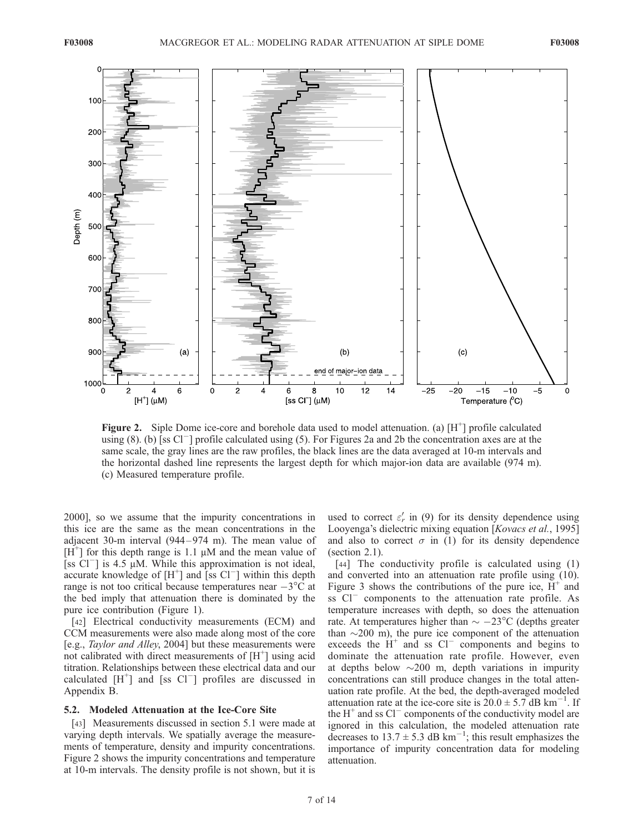

Figure 2. Siple Dome ice-core and borehole data used to model attenuation. (a)  $[H^+]$  profile calculated using  $(8)$ . (b) [ss Cl<sup>-</sup>] profile calculated using (5). For Figures 2a and 2b the concentration axes are at the same scale, the gray lines are the raw profiles, the black lines are the data averaged at 10-m intervals and the horizontal dashed line represents the largest depth for which major-ion data are available (974 m). (c) Measured temperature profile.

2000], so we assume that the impurity concentrations in this ice are the same as the mean concentrations in the adjacent 30-m interval (944 – 974 m). The mean value of [ $H^{\dagger}$ ] for this depth range is 1.1  $\mu$ M and the mean value of [ss  $Cl^{-}$ ] is 4.5 µM. While this approximation is not ideal, accurate knowledge of  $[H^+]$  and  $\overline{[}$  is Cl<sup>-</sup>] within this depth range is not too critical because temperatures near  $-3^{\circ}$ C at the bed imply that attenuation there is dominated by the pure ice contribution (Figure 1).

[42] Electrical conductivity measurements (ECM) and CCM measurements were also made along most of the core [e.g., Taylor and Alley, 2004] but these measurements were not calibrated with direct measurements of  $[H^+]$  using acid titration. Relationships between these electrical data and our calculated  $[H^+]$  and [ss Cl<sup>-</sup>] profiles are discussed in Appendix B.

#### 5.2. Modeled Attenuation at the Ice-Core Site

[43] Measurements discussed in section 5.1 were made at varying depth intervals. We spatially average the measurements of temperature, density and impurity concentrations. Figure 2 shows the impurity concentrations and temperature at 10-m intervals. The density profile is not shown, but it is

used to correct  $\varepsilon'_r$  in (9) for its density dependence using Looyenga's dielectric mixing equation [*Kovacs et al.*, 1995] and also to correct  $\sigma$  in (1) for its density dependence (section 2.1).

[44] The conductivity profile is calculated using (1) and converted into an attenuation rate profile using (10). Figure 3 shows the contributions of the pure ice,  $H^+$  and ss  $Cl^-$  components to the attenuation rate profile. As temperature increases with depth, so does the attenuation rate. At temperatures higher than  $\sim -23^{\circ}\text{C}$  (depths greater than  $\sim$ 200 m), the pure ice component of the attenuation exceeds the  $H^+$  and ss  $Cl^-$  components and begins to dominate the attenuation rate profile. However, even at depths below  $\sim$ 200 m, depth variations in impurity concentrations can still produce changes in the total attenuation rate profile. At the bed, the depth-averaged modeled attenuation rate at the ice-core site is  $20.0 \pm 5.7$  dB km<sup>-1</sup>. If the  $H^+$  and ss Cl<sup>-</sup> components of the conductivity model are ignored in this calculation, the modeled attenuation rate decreases to 13.7  $\pm$  5.3 dB km<sup>-1</sup>; this result emphasizes the importance of impurity concentration data for modeling attenuation.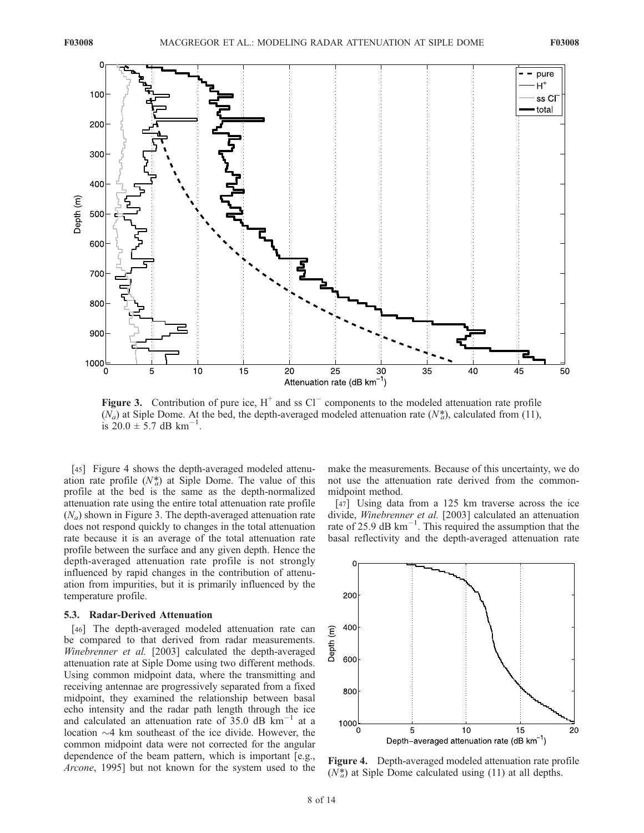

**Figure 3.** Contribution of pure ice,  $H^+$  and ss Cl<sup>-</sup> components to the modeled attenuation rate profile  $(N_a)$  at Siple Dome. At the bed, the depth-averaged modeled attenuation rate  $(N_a^*)$ , calculated from (11), is  $20.0 \pm 5.7$  dB km<sup>-1</sup>.

[45] Figure 4 shows the depth-averaged modeled attenuation rate profile  $(N_a^*)$  at Siple Dome. The value of this profile at the bed is the same as the depth-normalized attenuation rate using the entire total attenuation rate profile  $(N_a)$  shown in Figure 3. The depth-averaged attenuation rate does not respond quickly to changes in the total attenuation rate because it is an average of the total attenuation rate profile between the surface and any given depth. Hence the depth-averaged attenuation rate profile is not strongly influenced by rapid changes in the contribution of attenuation from impurities, but it is primarily influenced by the temperature profile.

#### 5.3. Radar-Derived Attenuation

[46] The depth-averaged modeled attenuation rate can be compared to that derived from radar measurements. Winebrenner et al. [2003] calculated the depth-averaged attenuation rate at Siple Dome using two different methods. Using common midpoint data, where the transmitting and receiving antennae are progressively separated from a fixed midpoint, they examined the relationship between basal echo intensity and the radar path length through the ice and calculated an attenuation rate of 35.0 dB  $\text{km}^{-1}$  at a location  $\sim$ 4 km southeast of the ice divide. However, the common midpoint data were not corrected for the angular dependence of the beam pattern, which is important [e.g., Arcone, 1995] but not known for the system used to the make the measurements. Because of this uncertainty, we do not use the attenuation rate derived from the commonmidpoint method.

[47] Using data from a 125 km traverse across the ice divide, Winebrenner et al. [2003] calculated an attenuation rate of 25.9 dB  $\text{km}^{-1}$ . This required the assumption that the basal reflectivity and the depth-averaged attenuation rate



Figure 4. Depth-averaged modeled attenuation rate profile  $(N_a^*)$  at Siple Dome calculated using (11) at all depths.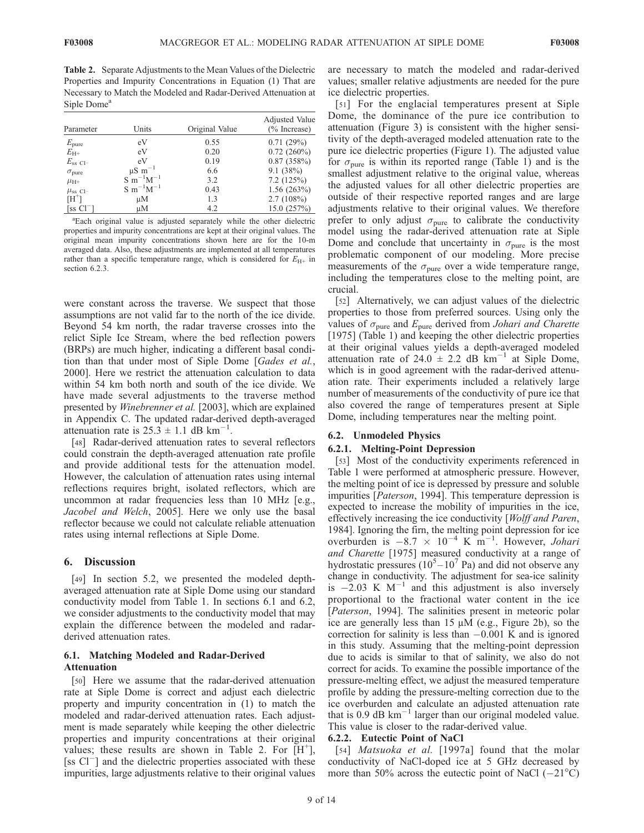Table 2. Separate Adjustments to the Mean Values of the Dielectric Properties and Impurity Concentrations in Equation (1) That are Necessary to Match the Modeled and Radar-Derived Attenuation at Siple Dome<sup>a</sup>

| Parameter                  | Units                   | Original Value | Adjusted Value<br>$(\%$ Increase) |
|----------------------------|-------------------------|----------------|-----------------------------------|
| $E_{\text{pure}}$          | eV                      | 0.55           | 0.71(29%)                         |
| $E_{\rm H+}$               | eV                      | 0.20           | $0.72(260\%)$                     |
| $E_{\rm ss}$ Cl-           | eV                      | 0.19           | 0.87(358%)                        |
| $\sigma_{pure}$            | $\mu$ S m <sup>-1</sup> | 6.6            | 9.1(38%)                          |
| $\mu_{\rm H+}$             | $S \; m^{-1}M^{-1}$     | 3.2            | 7.2(125%)                         |
| $\mu_{ss}$ Cl <sup>-</sup> | $S \; m^{-1}M^{-1}$     | 0.43           | 1.56(263%)                        |
| $[H^+]$                    | μM                      | 1.3            | 2.7(108%)                         |
| [ss $Cl^-$ ]               | μM                      | 4.2            | 15.0(257%)                        |

a Each original value is adjusted separately while the other dielectric properties and impurity concentrations are kept at their original values. The original mean impurity concentrations shown here are for the 10-m averaged data. Also, these adjustments are implemented at all temperatures rather than a specific temperature range, which is considered for  $E_{\rm H+}$  in section 6.2.3.

were constant across the traverse. We suspect that those assumptions are not valid far to the north of the ice divide. Beyond 54 km north, the radar traverse crosses into the relict Siple Ice Stream, where the bed reflection powers (BRPs) are much higher, indicating a different basal condition than that under most of Siple Dome [Gades et al., 2000]. Here we restrict the attenuation calculation to data within 54 km both north and south of the ice divide. We have made several adjustments to the traverse method presented by Winebrenner et al. [2003], which are explained in Appendix C. The updated radar-derived depth-averaged attenuation rate is  $25.\overline{3} \pm 1.1$  dB km<sup>-1</sup>.

[48] Radar-derived attenuation rates to several reflectors could constrain the depth-averaged attenuation rate profile and provide additional tests for the attenuation model. However, the calculation of attenuation rates using internal reflections requires bright, isolated reflectors, which are uncommon at radar frequencies less than 10 MHz [e.g., Jacobel and Welch, 2005]. Here we only use the basal reflector because we could not calculate reliable attenuation rates using internal reflections at Siple Dome.

#### 6. Discussion

[49] In section 5.2, we presented the modeled depthaveraged attenuation rate at Siple Dome using our standard conductivity model from Table 1. In sections 6.1 and 6.2, we consider adjustments to the conductivity model that may explain the difference between the modeled and radarderived attenuation rates.

#### 6.1. Matching Modeled and Radar-Derived Attenuation

[50] Here we assume that the radar-derived attenuation rate at Siple Dome is correct and adjust each dielectric property and impurity concentration in (1) to match the modeled and radar-derived attenuation rates. Each adjustment is made separately while keeping the other dielectric properties and impurity concentrations at their original values; these results are shown in Table 2. For  $[H^+]$ , [ss  $Cl<sup>-</sup>$ ] and the dielectric properties associated with these impurities, large adjustments relative to their original values are necessary to match the modeled and radar-derived values; smaller relative adjustments are needed for the pure ice dielectric properties.

[51] For the englacial temperatures present at Siple Dome, the dominance of the pure ice contribution to attenuation (Figure 3) is consistent with the higher sensitivity of the depth-averaged modeled attenuation rate to the pure ice dielectric properties (Figure 1). The adjusted value for  $\sigma_{\text{pure}}$  is within its reported range (Table 1) and is the smallest adjustment relative to the original value, whereas the adjusted values for all other dielectric properties are outside of their respective reported ranges and are large adjustments relative to their original values. We therefore prefer to only adjust  $\sigma_{pure}$  to calibrate the conductivity model using the radar-derived attenuation rate at Siple Dome and conclude that uncertainty in  $\sigma_{pure}$  is the most problematic component of our modeling. More precise measurements of the  $\sigma_{\text{pure}}$  over a wide temperature range, including the temperatures close to the melting point, are crucial.

[52] Alternatively, we can adjust values of the dielectric properties to those from preferred sources. Using only the values of  $\sigma_{pure}$  and  $E_{pure}$  derived from *Johari and Charette* [1975] (Table 1) and keeping the other dielectric properties at their original values yields a depth-averaged modeled attenuation rate of 24.0  $\pm$  2.2 dB km<sup>-1</sup> at Siple Dome, which is in good agreement with the radar-derived attenuation rate. Their experiments included a relatively large number of measurements of the conductivity of pure ice that also covered the range of temperatures present at Siple Dome, including temperatures near the melting point.

#### 6.2. Unmodeled Physics

#### 6.2.1. Melting-Point Depression

[53] Most of the conductivity experiments referenced in Table 1 were performed at atmospheric pressure. However, the melting point of ice is depressed by pressure and soluble impurities [Paterson, 1994]. This temperature depression is expected to increase the mobility of impurities in the ice, effectively increasing the ice conductivity [Wolff and Paren, 1984]. Ignoring the firn, the melting point depression for ice overburden is  $-8.7 \times 10^{-4}$  K m<sup>-1</sup>. However, *Johari* and Charette [1975] measured conductivity at a range of hydrostatic pressures  $(10^5 - 10^7$  Pa) and did not observe any change in conductivity. The adjustment for sea-ice salinity is  $-2.03$  K M<sup>-1</sup> and this adjustment is also inversely proportional to the fractional water content in the ice [Paterson, 1994]. The salinities present in meteoric polar ice are generally less than  $15 \mu M$  (e.g., Figure 2b), so the correction for salinity is less than  $-0.001$  K and is ignored in this study. Assuming that the melting-point depression due to acids is similar to that of salinity, we also do not correct for acids. To examine the possible importance of the pressure-melting effect, we adjust the measured temperature profile by adding the pressure-melting correction due to the ice overburden and calculate an adjusted attenuation rate that is 0.9 dB  $km^{-1}$  larger than our original modeled value. This value is closer to the radar-derived value.

#### 6.2.2. Eutectic Point of NaCl

[54] *Matsuoka et al.* [1997a] found that the molar conductivity of NaCl-doped ice at 5 GHz decreased by more than 50% across the eutectic point of NaCl  $(-21^{\circ}C)$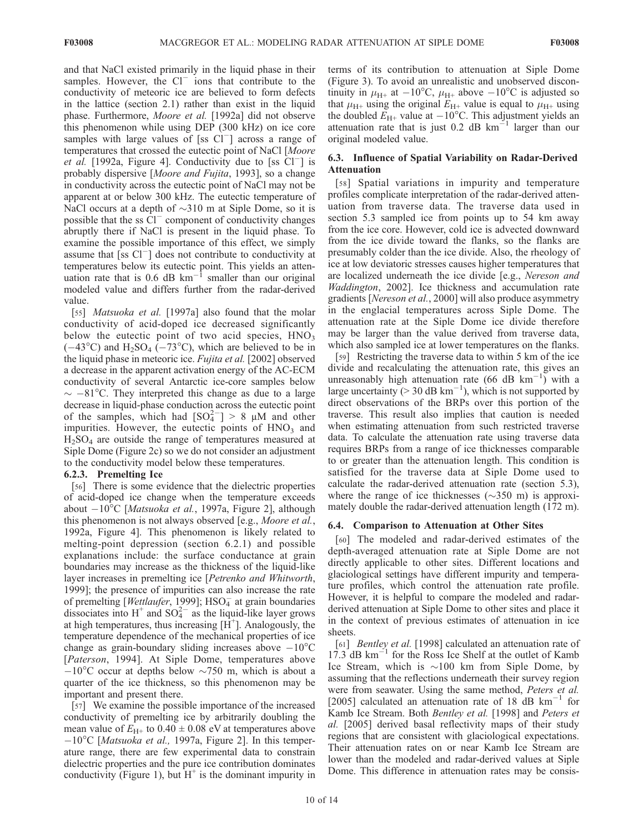and that NaCl existed primarily in the liquid phase in their samples. However, the  $Cl^-$  ions that contribute to the conductivity of meteoric ice are believed to form defects in the lattice (section 2.1) rather than exist in the liquid phase. Furthermore, Moore et al. [1992a] did not observe this phenomenon while using DEP (300 kHz) on ice core samples with large values of [ss  $Cl<sup>-</sup>$ ] across a range of temperatures that crossed the eutectic point of NaCl [Moore *et al.* [1992a, Figure 4]. Conductivity due to [ss  $Cl^-$ ] is probably dispersive [Moore and Fujita, 1993], so a change in conductivity across the eutectic point of NaCl may not be apparent at or below 300 kHz. The eutectic temperature of NaCl occurs at a depth of  $\sim$ 310 m at Siple Dome, so it is possible that the ss  $Cl^-$  component of conductivity changes abruptly there if NaCl is present in the liquid phase. To examine the possible importance of this effect, we simply assume that [ss  $Cl^-$ ] does not contribute to conductivity at temperatures below its eutectic point. This yields an attenuation rate that is 0.6 dB  $km^{-1}$  smaller than our original modeled value and differs further from the radar-derived value.

[55] *Matsuoka et al.* [1997a] also found that the molar conductivity of acid-doped ice decreased significantly below the eutectic point of two acid species,  $HNO<sub>3</sub>$  $(-43^{\circ}$ C) and H<sub>2</sub>SO<sub>4</sub> ( $-73^{\circ}$ C), which are believed to be in the liquid phase in meteoric ice. Fujita et al. [2002] observed a decrease in the apparent activation energy of the AC-ECM conductivity of several Antarctic ice-core samples below  $\sim -81^{\circ}$ C. They interpreted this change as due to a large decrease in liquid-phase conduction across the eutectic point of the samples, which had  $[SO_4^{2-}] > 8$  µM and other impurities. However, the eutectic points of  $HNO<sub>3</sub>$  and  $H<sub>2</sub>SO<sub>4</sub>$  are outside the range of temperatures measured at Siple Dome (Figure 2c) so we do not consider an adjustment to the conductivity model below these temperatures.

#### 6.2.3. Premelting Ice

[56] There is some evidence that the dielectric properties of acid-doped ice change when the temperature exceeds about  $-10^{\circ}$ C [*Matsuoka et al.*, 1997a, Figure 2], although this phenomenon is not always observed [e.g., *Moore et al.*, 1992a, Figure 4]. This phenomenon is likely related to melting-point depression (section 6.2.1) and possible explanations include: the surface conductance at grain boundaries may increase as the thickness of the liquid-like layer increases in premelting ice [Petrenko and Whitworth, 1999]; the presence of impurities can also increase the rate of premelting [Wettlaufer, 1999]; HSO<sub>4</sub> at grain boundaries dissociates into H<sup>+</sup> and  $SO_4^{2-}$  as the liquid-like layer grows at high temperatures, thus increasing  $[H^+]$ . Analogously, the temperature dependence of the mechanical properties of ice change as grain-boundary sliding increases above  $-10^{\circ}$ C [Paterson, 1994]. At Siple Dome, temperatures above  $-10^{\circ}$ C occur at depths below  $\sim$ 750 m, which is about a quarter of the ice thickness, so this phenomenon may be important and present there.

[57] We examine the possible importance of the increased conductivity of premelting ice by arbitrarily doubling the mean value of  $E_{\text{H+}}$  to  $0.40 \pm 0.08$  eV at temperatures above  $-10^{\circ}$ C [*Matsuoka et al.*, 1997a, Figure 2]. In this temperature range, there are few experimental data to constrain dielectric properties and the pure ice contribution dominates conductivity (Figure 1), but  $H^+$  is the dominant impurity in terms of its contribution to attenuation at Siple Dome (Figure 3). To avoid an unrealistic and unobserved discontinuity in  $\mu_{\text{H+}}$  at  $-10^{\circ}\text{C}$ ,  $\mu_{\text{H+}}$  above  $-10^{\circ}\text{C}$  is adjusted so that  $\mu_{\text{H+}}$  using the original  $E_{\text{H+}}$  value is equal to  $\mu_{\text{H+}}$  using the doubled  $E_{\text{H+}}$  value at  $-10^{\circ}\text{C}$ . This adjustment yields an attenuation rate that is just 0.2 dB  $km^{-1}$  larger than our original modeled value.

#### 6.3. Influence of Spatial Variability on Radar-Derived Attenuation

[58] Spatial variations in impurity and temperature profiles complicate interpretation of the radar-derived attenuation from traverse data. The traverse data used in section 5.3 sampled ice from points up to 54 km away from the ice core. However, cold ice is advected downward from the ice divide toward the flanks, so the flanks are presumably colder than the ice divide. Also, the rheology of ice at low deviatoric stresses causes higher temperatures that are localized underneath the ice divide [e.g., Nereson and Waddington, 2002]. Ice thickness and accumulation rate gradients [Nereson et al., 2000] will also produce asymmetry in the englacial temperatures across Siple Dome. The attenuation rate at the Siple Dome ice divide therefore may be larger than the value derived from traverse data, which also sampled ice at lower temperatures on the flanks.

[59] Restricting the traverse data to within 5 km of the ice divide and recalculating the attenuation rate, this gives an unreasonably high attenuation rate (66 dB  $\text{km}^{-1}$ ) with a large uncertainty ( $> 30$  dB km<sup>-1</sup>), which is not supported by direct observations of the BRPs over this portion of the traverse. This result also implies that caution is needed when estimating attenuation from such restricted traverse data. To calculate the attenuation rate using traverse data requires BRPs from a range of ice thicknesses comparable to or greater than the attenuation length. This condition is satisfied for the traverse data at Siple Dome used to calculate the radar-derived attenuation rate (section 5.3), where the range of ice thicknesses  $(\sim 350 \text{ m})$  is approximately double the radar-derived attenuation length (172 m).

#### 6.4. Comparison to Attenuation at Other Sites

[60] The modeled and radar-derived estimates of the depth-averaged attenuation rate at Siple Dome are not directly applicable to other sites. Different locations and glaciological settings have different impurity and temperature profiles, which control the attenuation rate profile. However, it is helpful to compare the modeled and radarderived attenuation at Siple Dome to other sites and place it in the context of previous estimates of attenuation in ice sheets.

[61] *Bentley et al.* [1998] calculated an attenuation rate of 17.3 dB  $\text{km}^{-1}$  for the Ross Ice Shelf at the outlet of Kamb Ice Stream, which is  $\sim$ 100 km from Siple Dome, by assuming that the reflections underneath their survey region were from seawater. Using the same method, Peters et al. [2005] calculated an attenuation rate of 18 dB  $km^{-1}$  for Kamb Ice Stream. Both Bentley et al. [1998] and Peters et al. [2005] derived basal reflectivity maps of their study regions that are consistent with glaciological expectations. Their attenuation rates on or near Kamb Ice Stream are lower than the modeled and radar-derived values at Siple Dome. This difference in attenuation rates may be consis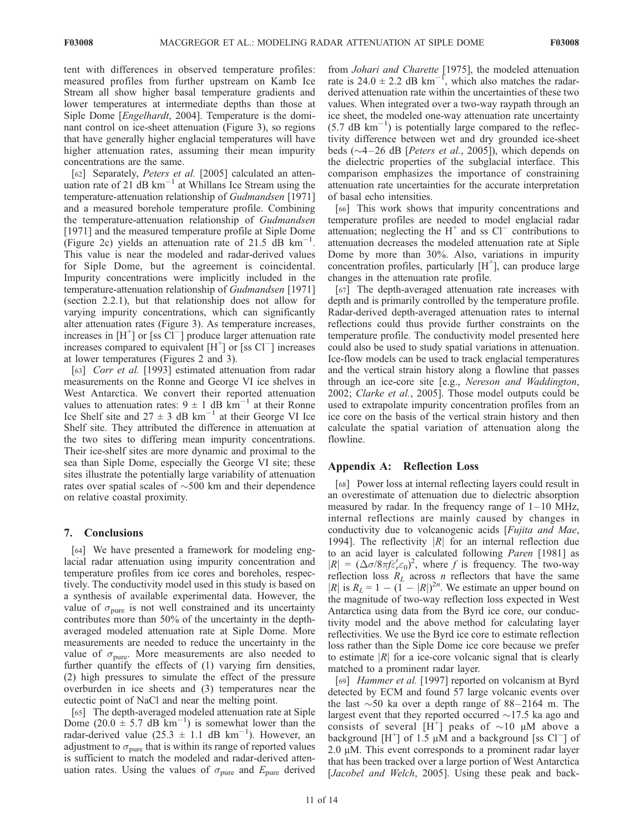tent with differences in observed temperature profiles: measured profiles from further upstream on Kamb Ice Stream all show higher basal temperature gradients and lower temperatures at intermediate depths than those at Siple Dome [*Engelhardt*, 2004]. Temperature is the dominant control on ice-sheet attenuation (Figure 3), so regions that have generally higher englacial temperatures will have higher attenuation rates, assuming their mean impurity concentrations are the same.

[62] Separately, Peters et al. [2005] calculated an attenuation rate of 21  $dB$  km<sup>-1</sup> at Whillans Ice Stream using the temperature-attenuation relationship of Gudmandsen [1971] and a measured borehole temperature profile. Combining the temperature-attenuation relationship of Gudmandsen [1971] and the measured temperature profile at Siple Dome (Figure 2c) yields an attenuation rate of  $21.5$  dB km<sup>-</sup> . This value is near the modeled and radar-derived values for Siple Dome, but the agreement is coincidental. Impurity concentrations were implicitly included in the temperature-attenuation relationship of Gudmandsen [1971] (section 2.2.1), but that relationship does not allow for varying impurity concentrations, which can significantly alter attenuation rates (Figure 3). As temperature increases, increases in  $[H^+]$  or [ss  $\overline{CI}^-$ ] produce larger attenuation rate increases compared to equivalent  $[H^+]$  or [ss Cl<sup>-</sup>] increases at lower temperatures (Figures 2 and 3).

[63] Corr et al. [1993] estimated attenuation from radar measurements on the Ronne and George VI ice shelves in West Antarctica. We convert their reported attenuation values to attenuation rates:  $9 \pm 1$  dB km<sup>-1</sup> at their Ronne Ice Shelf site and  $27 \pm 3$  dB km<sup>-1</sup> at their George VI Ice Shelf site. They attributed the difference in attenuation at the two sites to differing mean impurity concentrations. Their ice-shelf sites are more dynamic and proximal to the sea than Siple Dome, especially the George VI site; these sites illustrate the potentially large variability of attenuation rates over spatial scales of  $\sim$ 500 km and their dependence on relative coastal proximity.

#### 7. Conclusions

[64] We have presented a framework for modeling englacial radar attenuation using impurity concentration and temperature profiles from ice cores and boreholes, respectively. The conductivity model used in this study is based on a synthesis of available experimental data. However, the value of  $\sigma_{\text{pure}}$  is not well constrained and its uncertainty contributes more than 50% of the uncertainty in the depthaveraged modeled attenuation rate at Siple Dome. More measurements are needed to reduce the uncertainty in the value of  $\sigma_{pure}$ . More measurements are also needed to further quantify the effects of (1) varying firn densities, (2) high pressures to simulate the effect of the pressure overburden in ice sheets and (3) temperatures near the eutectic point of NaCl and near the melting point.

[65] The depth-averaged modeled attenuation rate at Siple Dome  $(20.0 \pm 5.7 \text{ dB km}^{-1})$  is somewhat lower than the radar-derived value  $(25.3 \pm 1.1 \text{ dB km}^{-1})$ . However, an adjustment to  $\sigma_{\text{pure}}$  that is within its range of reported values is sufficient to match the modeled and radar-derived attenuation rates. Using the values of  $\sigma_{pure}$  and  $E_{pure}$  derived

from Johari and Charette [1975], the modeled attenuation rate is  $24.0 \pm 2.2$  dB km<sup>-1</sup>, which also matches the radarderived attenuation rate within the uncertainties of these two values. When integrated over a two-way raypath through an ice sheet, the modeled one-way attenuation rate uncertainty  $(5.7 \text{ dB km}^{-1})$  is potentially large compared to the reflectivity difference between wet and dry grounded ice-sheet beds  $(\sim4-26$  dB [*Peters et al.*, 2005]), which depends on the dielectric properties of the subglacial interface. This comparison emphasizes the importance of constraining attenuation rate uncertainties for the accurate interpretation of basal echo intensities.

[66] This work shows that impurity concentrations and temperature profiles are needed to model englacial radar attenuation; neglecting the  $H^+$  and ss  $Cl^-$  contributions to attenuation decreases the modeled attenuation rate at Siple Dome by more than 30%. Also, variations in impurity concentration profiles, particularly [H<sup>+</sup>], can produce large changes in the attenuation rate profile.

[67] The depth-averaged attenuation rate increases with depth and is primarily controlled by the temperature profile. Radar-derived depth-averaged attenuation rates to internal reflections could thus provide further constraints on the temperature profile. The conductivity model presented here could also be used to study spatial variations in attenuation. Ice-flow models can be used to track englacial temperatures and the vertical strain history along a flowline that passes through an ice-core site [e.g., Nereson and Waddington, 2002; Clarke et al., 2005]. Those model outputs could be used to extrapolate impurity concentration profiles from an ice core on the basis of the vertical strain history and then calculate the spatial variation of attenuation along the flowline.

#### Appendix A: Reflection Loss

[68] Power loss at internal reflecting layers could result in an overestimate of attenuation due to dielectric absorption measured by radar. In the frequency range of  $1-10$  MHz, internal reflections are mainly caused by changes in conductivity due to volcanogenic acids [Fujita and Mae, 1994]. The reflectivity  $|R|$  for an internal reflection due to an acid layer is calculated following Paren [1981] as  $|R| = (\Delta \sigma / 8 \pi f \epsilon'_r \epsilon_0)^2$ , where f is frequency. The two-way reflection loss  $R_L$  across *n* reflectors that have the same |R| is  $R_L = 1 - (1 - |R|)^{2n}$ . We estimate an upper bound on the magnitude of two-way reflection loss expected in West Antarctica using data from the Byrd ice core, our conductivity model and the above method for calculating layer reflectivities. We use the Byrd ice core to estimate reflection loss rather than the Siple Dome ice core because we prefer to estimate  $|R|$  for a ice-core volcanic signal that is clearly matched to a prominent radar layer.

[69] *Hammer et al.* [1997] reported on volcanism at Byrd detected by ECM and found 57 large volcanic events over the last  $\sim$  50 ka over a depth range of 88–2164 m. The largest event that they reported occurred  $\sim$ 17.5 ka ago and consists of several  $[H^+]$  peaks of  $\sim 10$  µM above a background  $[H^+]$  of 1.5  $\mu$ M and a background [ss Cl<sup>-</sup>] of 2.0  $\mu$ M. This event corresponds to a prominent radar layer that has been tracked over a large portion of West Antarctica [*Jacobel and Welch*, 2005]. Using these peak and back-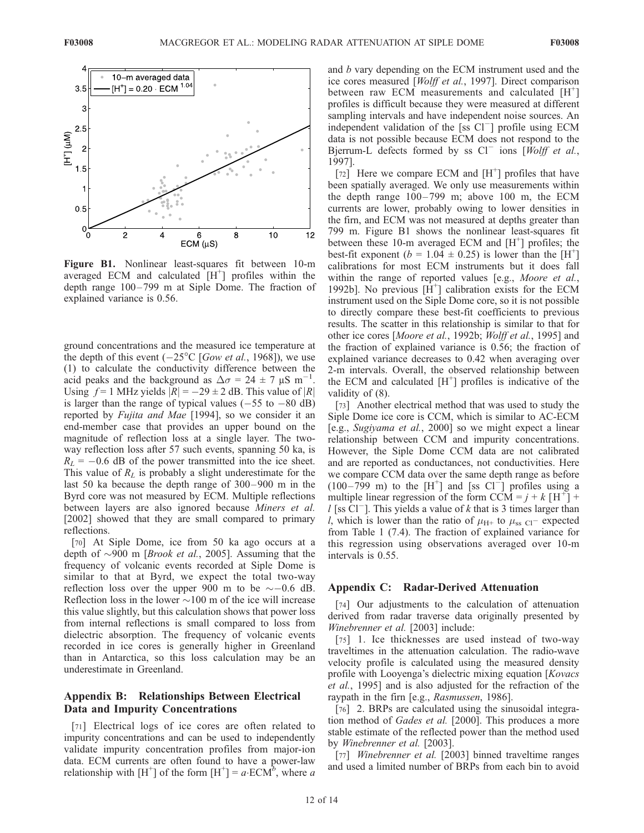

Figure B1. Nonlinear least-squares fit between 10-m averaged ECM and calculated  $[H^+]$  profiles within the depth range 100– 799 m at Siple Dome. The fraction of explained variance is 0.56.

ground concentrations and the measured ice temperature at the depth of this event  $(-25^{\circ}C$  [Gow et al., 1968]), we use (1) to calculate the conductivity difference between the acid peaks and the background as  $\Delta \sigma = 24 \pm 7 \mu S \text{ m}^{-1}$ . Using  $f = 1$  MHz yields  $|R| = -29 \pm 2$  dB. This value of  $|R|$ is larger than the range of typical values  $(-55$  to  $-80$  dB) reported by Fujita and Mae [1994], so we consider it an end-member case that provides an upper bound on the magnitude of reflection loss at a single layer. The twoway reflection loss after 57 such events, spanning 50 ka, is  $R_L$  = -0.6 dB of the power transmitted into the ice sheet. This value of  $R<sub>L</sub>$  is probably a slight underestimate for the last 50 ka because the depth range of 300 – 900 m in the Byrd core was not measured by ECM. Multiple reflections between layers are also ignored because Miners et al. [2002] showed that they are small compared to primary reflections.

[70] At Siple Dome, ice from 50 ka ago occurs at a depth of  $\sim$ 900 m [*Brook et al.*, 2005]. Assuming that the frequency of volcanic events recorded at Siple Dome is similar to that at Byrd, we expect the total two-way reflection loss over the upper 900 m to be  $\sim$  -0.6 dB. Reflection loss in the lower  $\sim$ 100 m of the ice will increase this value slightly, but this calculation shows that power loss from internal reflections is small compared to loss from dielectric absorption. The frequency of volcanic events recorded in ice cores is generally higher in Greenland than in Antarctica, so this loss calculation may be an underestimate in Greenland.

#### Appendix B: Relationships Between Electrical Data and Impurity Concentrations

[71] Electrical logs of ice cores are often related to impurity concentrations and can be used to independently validate impurity concentration profiles from major-ion data. ECM currents are often found to have a power-law relationship with  $[H^+]$  of the form  $[H^+] = a \cdot ECM^b$ , where a

and b vary depending on the ECM instrument used and the ice cores measured [Wolff et al., 1997]. Direct comparison between raw ECM measurements and calculated [H<sup>+</sup>] profiles is difficult because they were measured at different sampling intervals and have independent noise sources. An independent validation of the [ss  $Cl^-$ ] profile using ECM data is not possible because ECM does not respond to the Bjerrum-L defects formed by ss  $Cl^-$  ions [Wolff et al., 1997].

 $\begin{bmatrix} 72 \end{bmatrix}$  Here we compare ECM and  $\begin{bmatrix} H^+ \end{bmatrix}$  profiles that have been spatially averaged. We only use measurements within the depth range  $100-799$  m; above  $100$  m, the ECM currents are lower, probably owing to lower densities in the firn, and ECM was not measured at depths greater than 799 m. Figure B1 shows the nonlinear least-squares fit between these 10-m averaged ECM and  $[H^+]$  profiles; the best-fit exponent ( $b = 1.04 \pm 0.25$ ) is lower than the [H<sup>+</sup>] calibrations for most ECM instruments but it does fall within the range of reported values [e.g., *Moore et al.*, 1992b]. No previous  $[\hat{H}^+]$  calibration exists for the ECM instrument used on the Siple Dome core, so it is not possible to directly compare these best-fit coefficients to previous results. The scatter in this relationship is similar to that for other ice cores [Moore et al., 1992b; Wolff et al., 1995] and the fraction of explained variance is 0.56; the fraction of explained variance decreases to 0.42 when averaging over 2-m intervals. Overall, the observed relationship between the ECM and calculated  $[H<sup>+</sup>]$  profiles is indicative of the validity of (8).

[73] Another electrical method that was used to study the Siple Dome ice core is CCM, which is similar to AC-ECM [e.g., Sugiyama et al., 2000] so we might expect a linear relationship between CCM and impurity concentrations. However, the Siple Dome CCM data are not calibrated and are reported as conductances, not conductivities. Here we compare CCM data over the same depth range as before  $(100-799 \text{ m})$  to the [H<sup>+</sup>] and [ss Cl<sup>-</sup>] profiles using a multiple linear regression of the form CCM =  $j + k \upharpoonright H^+$ ] +  $l$  [ss Cl<sup>-</sup>]. This yields a value of k that is 3 times larger than *l*, which is lower than the ratio of  $\mu_{\text{H+}}$  to  $\mu_{\text{ss Cl}}$  expected from Table 1 (7.4). The fraction of explained variance for this regression using observations averaged over 10-m intervals is 0.55.

#### Appendix C: Radar-Derived Attenuation

[74] Our adjustments to the calculation of attenuation derived from radar traverse data originally presented by Winebrenner et al. [2003] include:

[75] 1. Ice thicknesses are used instead of two-way traveltimes in the attenuation calculation. The radio-wave velocity profile is calculated using the measured density profile with Looyenga's dielectric mixing equation [Kovacs et al., 1995] and is also adjusted for the refraction of the raypath in the firn [e.g., Rasmussen, 1986].

[76] 2. BRPs are calculated using the sinusoidal integration method of Gades et al. [2000]. This produces a more stable estimate of the reflected power than the method used by Winebrenner et al. [2003].

[77] Winebrenner et al. [2003] binned traveltime ranges and used a limited number of BRPs from each bin to avoid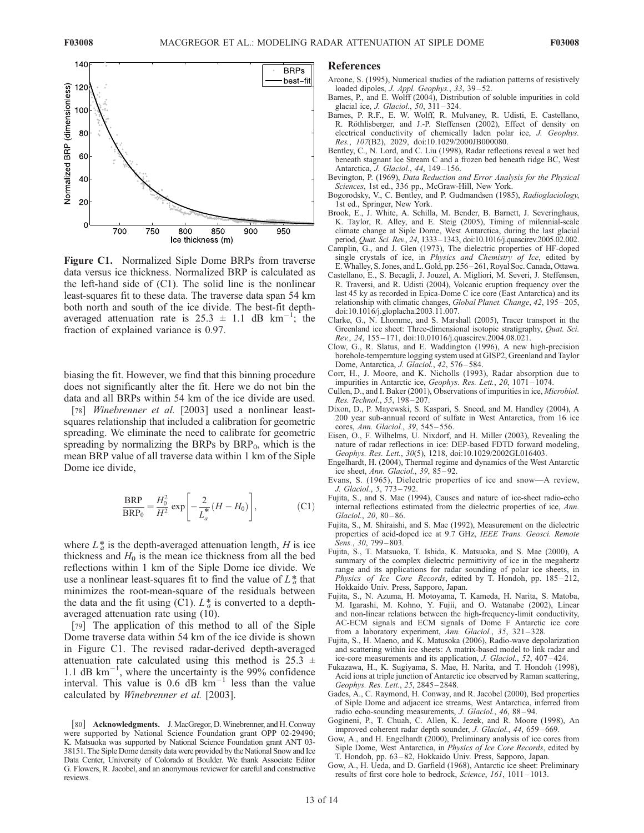

Figure C1. Normalized Siple Dome BRPs from traverse data versus ice thickness. Normalized BRP is calculated as the left-hand side of (C1). The solid line is the nonlinear least-squares fit to these data. The traverse data span 54 km both north and south of the ice divide. The best-fit depthaveraged attenuation rate is  $25.3 \pm 1.1$  dB km<sup>-1</sup>; the fraction of explained variance is 0.97.

biasing the fit. However, we find that this binning procedure does not significantly alter the fit. Here we do not bin the data and all BRPs within 54 km of the ice divide are used.

[78] Winebrenner et al. [2003] used a nonlinear leastsquares relationship that included a calibration for geometric spreading. We eliminate the need to calibrate for geometric spreading by normalizing the BRPs by  $BRP_0$ , which is the mean BRP value of all traverse data within 1 km of the Siple Dome ice divide,

$$
\frac{\text{BRP}}{\text{BRP}_0} = \frac{H_0^2}{H^2} \exp\left[-\frac{2}{L_a^*}(H - H_0)\right],\tag{C1}
$$

where  $L_a^*$  is the depth-averaged attenuation length, H is ice thickness and  $H_0$  is the mean ice thickness from all the bed reflections within 1 km of the Siple Dome ice divide. We use a nonlinear least-squares fit to find the value of  $L^*_{a}$  that minimizes the root-mean-square of the residuals between the data and the fit using (C1).  $L_a^*$  is converted to a depthaveraged attenuation rate using (10).

[79] The application of this method to all of the Siple Dome traverse data within 54 km of the ice divide is shown in Figure C1. The revised radar-derived depth-averaged attenuation rate calculated using this method is  $25.3 \pm$ 1.1 dB  $km^{-1}$ , where the uncertainty is the 99% confidence interval. This value is  $0.6$  dB km<sup>-1</sup> less than the value calculated by Winebrenner et al. [2003].

#### References

- Arcone, S. (1995), Numerical studies of the radiation patterns of resistively loaded dipoles, J. Appl. Geophys., 33, 39-52.
- Barnes, P., and E. Wolff (2004), Distribution of soluble impurities in cold glacial ice, *J. Glaciol.*, 50, 311-324.
- Barnes, P. R.F., E. W. Wolff, R. Mulvaney, R. Udisti, E. Castellano, R. Röthlisberger, and J.-P. Steffensen (2002), Effect of density on electrical conductivity of chemically laden polar ice, J. Geophys. Res., 107(B2), 2029, doi:10.1029/2000JB000080.
- Bentley, C., N. Lord, and C. Liu (1998), Radar reflections reveal a wet bed beneath stagnant Ice Stream C and a frozen bed beneath ridge BC, West Antarctica, J. Glaciol., 44, 149-156.
- Bevington, P. (1969), Data Reduction and Error Analysis for the Physical Sciences, 1st ed., 336 pp., McGraw-Hill, New York.
- Bogorodsky, V., C. Bentley, and P. Gudmandsen (1985), Radioglaciology, 1st ed., Springer, New York.
- Brook, E., J. White, A. Schilla, M. Bender, B. Barnett, J. Severinghaus, K. Taylor, R. Alley, and E. Steig (2005), Timing of milennial-scale climate change at Siple Dome, West Antarctica, during the last glacial period, Quat. Sci. Rev., 24, 1333–1343, doi:10.1016/j.quascirev.2005.02.002.
- Camplin, G., and J. Glen (1973), The dielectric properties of HF-doped single crystals of ice, in Physics and Chemistry of Ice, edited by E.Whalley, S. Jones, and L. Gold, pp. 256 – 261, Royal Soc. Canada, Ottawa.
- Castellano, E., S. Becagli, J. Jouzel, A. Migliori, M. Severi, J. Steffensen, R. Traversi, and R. Udisti (2004), Volcanic eruption frequency over the last 45 ky as recorded in Epica-Dome C ice core (East Antarctica) and its relationship with climatic changes, Global Planet. Change, 42, 195 – 205, doi:10.1016/j.gloplacha.2003.11.007.
- Clarke, G., N. Lhomme, and S. Marshall (2005), Tracer transport in the Greenland ice sheet: Three-dimensional isotopic stratigraphy, Quat. Sci. Rev., 24, 155 – 171, doi:10.01016/j.quascirev.2004.08.021.
- Clow, G., R. Slatus, and E. Waddington (1996), A new high-precision borehole-temperature logging system used at GISP2, Greenland and Taylor Dome, Antarctica, J. Glaciol., 42, 576 – 584.
- Corr, H., J. Moore, and K. Nicholls (1993), Radar absorption due to impurities in Antarctic ice, Geophys. Res. Lett., 20, 1071 – 1074.
- Cullen, D., and I. Baker (2001), Observations of impurities in ice, Microbiol. Res. Technol., 55, 198 – 207.
- Dixon, D., P. Mayewski, S. Kaspari, S. Sneed, and M. Handley (2004), A 200 year sub-annual record of sulfate in West Antarctica, from 16 ice cores, Ann. Glaciol., 39, 545 – 556.
- Eisen, O., F. Wilhelms, U. Nixdorf, and H. Miller (2003), Revealing the nature of radar reflections in ice: DEP-based FDTD forward modeling, Geophys. Res. Lett., 30(5), 1218, doi:10.1029/2002GL016403.
- Engelhardt, H. (2004), Thermal regime and dynamics of the West Antarctic ice sheet, Ann. Glaciol., 39, 85 – 92.
- Evans, S. (1965), Dielectric properties of ice and snow—A review, J. Glaciol., 5, 773 – 792.
- Fujita, S., and S. Mae (1994), Causes and nature of ice-sheet radio-echo internal reflections estimated from the dielectric properties of ice, Ann. Glaciol., 20, 80-86.
- Fujita, S., M. Shiraishi, and S. Mae (1992), Measurement on the dielectric properties of acid-doped ice at 9.7 GHz, IEEE Trans. Geosci. Remote Sens., 30, 799–803.
- Fujita, S., T. Matsuoka, T. Ishida, K. Matsuoka, and S. Mae (2000), A summary of the complex dielectric permittivity of ice in the megahertz range and its applications for radar sounding of polar ice sheets, in Physics of Ice Core Records, edited by T. Hondoh, pp. 185-212, Hokkaido Univ. Press, Sapporo, Japan.
- Fujita, S., N. Azuma, H. Motoyama, T. Kameda, H. Narita, S. Matoba, M. Igarashi, M. Kohno, Y. Fujii, and O. Watanabe (2002), Linear and non-linear relations between the high-frequency-limit conductivity, AC-ECM signals and ECM signals of Dome F Antarctic ice core from a laboratory experiment, Ann. Glaciol., 35, 321-328.
- Fujita, S., H. Maeno, and K. Matusoka (2006), Radio-wave depolarization and scattering within ice sheets: A matrix-based model to link radar and ice-core measurements and its application, J. Glaciol., 52, 407 – 424.
- Fukazawa, H., K. Sugiyama, S. Mae, H. Narita, and T. Hondoh (1998), Acid ions at triple junction of Antarctic ice observed by Raman scattering, Geophys. Res. Lett., 25, 2845 – 2848.
- Gades, A., C. Raymond, H. Conway, and R. Jacobel (2000), Bed properties of Siple Dome and adjacent ice streams, West Antarctica, inferred from radio echo-sounding measurements, *J. Glaciol.*, 46, 88-94.
- Gogineni, P., T. Chuah, C. Allen, K. Jezek, and R. Moore (1998), An improved coherent radar depth sounder, J. Glaciol., 44, 659 – 669.
- Gow, A., and H. Engelhardt  $(2000)$ , Preliminary analysis of ice cores from Siple Dome, West Antarctica, in Physics of Ice Core Records, edited by T. Hondoh, pp. 63 – 82, Hokkaido Univ. Press, Sapporo, Japan.
- Gow, A., H. Ueda, and D. Garfield (1968), Antarctic ice sheet: Preliminary results of first core hole to bedrock, Science, 161, 1011 – 1013.

<sup>[80]</sup> Acknowledgments. J. MacGregor, D.Winebrenner, and H. Conway were supported by National Science Foundation grant OPP 02-29490; K. Matsuoka was supported by National Science Foundation grant ANT 03- 38151. The Siple Dome density data were provided by the National Snow and Ice Data Center, University of Colorado at Boulder. We thank Associate Editor G. Flowers, R. Jacobel, and an anonymous reviewer for careful and constructive reviews.